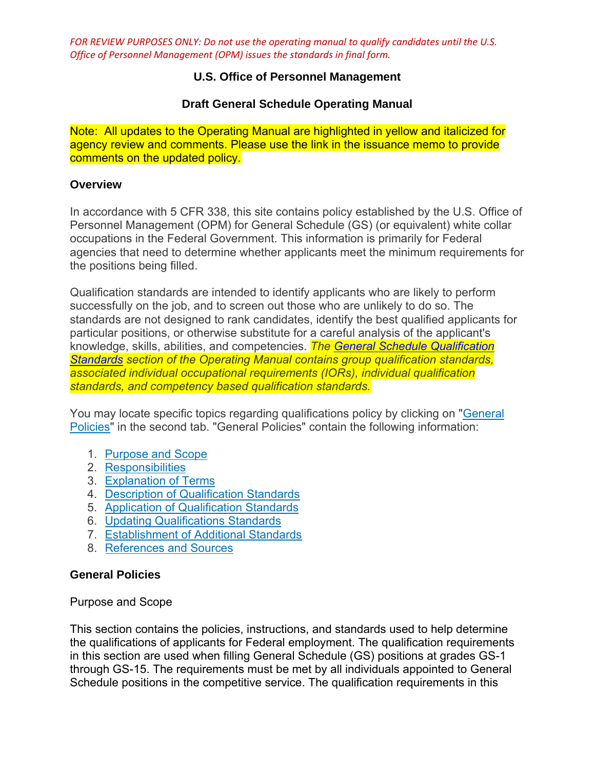# **U.S. Office of Personnel Management**

# **Draft General Schedule Operating Manual**

Note: All updates to the Operating Manual are highlighted in yellow and italicized for agency review and comments. Please use the link in the issuance memo to provide comments on the updated policy.

## **Overview**

In accordance with 5 CFR 338, this site contains policy established by the U.S. Office of Personnel Management (OPM) for General Schedule (GS) (or equivalent) white collar occupations in the Federal Government. This information is primarily for Federal agencies that need to determine whether applicants meet the minimum requirements for the positions being filled.

Qualification standards are intended to identify applicants who are likely to perform successfully on the job, and to screen out those who are unlikely to do so. The standards are not designed to rank candidates, identify the best qualified applicants for particular positions, or otherwise substitute for a careful analysis of the applicant's knowledge, skills, abilities, and competencies. *The [General Schedule Qualification](https://www.opm.gov/policy-data-oversight/classification-qualifications/general-schedule-qualification-standards/)  [Standards](https://www.opm.gov/policy-data-oversight/classification-qualifications/general-schedule-qualification-standards/) section of the Operating Manual contains group qualification standards, associated individual occupational requirements (IORs), individual qualification standards, and competency based qualification standards.*

You may locate specific topics regarding qualifications policy by clicking on ["General](https://www.opm.gov/policy-data-oversight/classification-qualifications/general-schedule-qualification-policies/tabs/general-policies/)  [Policies"](https://www.opm.gov/policy-data-oversight/classification-qualifications/general-schedule-qualification-policies/tabs/general-policies/) in the second tab. "General Policies" contain the following information:

- 1. [Purpose and Scope](https://www.opm.gov/policy-data-oversight/classification-qualifications/general-schedule-qualification-policies/#purpose)
- 2. [Responsibilities](https://www.opm.gov/policy-data-oversight/classification-qualifications/general-schedule-qualification-policies/#resp)
- 3. [Explanation of Terms](https://www.opm.gov/policy-data-oversight/classification-qualifications/general-schedule-qualification-policies/#exp)
- 4. [Description of Qualification Standards](https://www.opm.gov/policy-data-oversight/classification-qualifications/general-schedule-qualification-policies/#desc)
- 5. [Application of Qualification Standards](https://www.opm.gov/policy-data-oversight/classification-qualifications/general-schedule-qualification-policies/#app)
- 6. [Updating Qualifications Standards](https://www.opm.gov/policy-data-oversight/classification-qualifications/general-schedule-qualification-policies/#update)
- 7. [Establishment of Additional Standards](https://www.opm.gov/policy-data-oversight/classification-qualifications/general-schedule-qualification-policies/#estb)
- 8. [References and Sources](https://www.opm.gov/policy-data-oversight/classification-qualifications/general-schedule-qualification-policies/#ref)

## **General Policies**

Purpose and Scope

This section contains the policies, instructions, and standards used to help determine the qualifications of applicants for Federal employment. The qualification requirements in this section are used when filling General Schedule (GS) positions at grades GS-1 through GS-15. The requirements must be met by all individuals appointed to General Schedule positions in the competitive service. The qualification requirements in this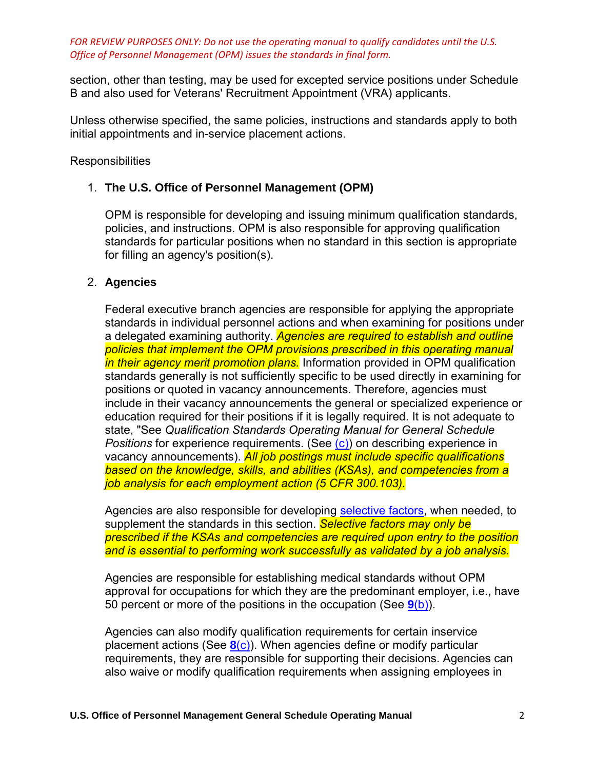section, other than testing, may be used for excepted service positions under Schedule B and also used for Veterans' Recruitment Appointment (VRA) applicants.

Unless otherwise specified, the same policies, instructions and standards apply to both initial appointments and in-service placement actions.

**Responsibilities** 

# 1. **The U.S. Office of Personnel Management (OPM)**

OPM is responsible for developing and issuing minimum qualification standards, policies, and instructions. OPM is also responsible for approving qualification standards for particular positions when no standard in this section is appropriate for filling an agency's position(s).

# 2. **Agencies**

Federal executive branch agencies are responsible for applying the appropriate standards in individual personnel actions and when examining for positions under a delegated examining authority. *Agencies are required to establish and outline policies that implement the OPM provisions prescribed in this operating manual in their agency merit promotion plans.* Information provided in OPM qualification standards generally is not sufficiently specific to be used directly in examining for positions or quoted in vacancy announcements. Therefore, agencies must include in their vacancy announcements the general or specialized experience or education required for their positions if it is legally required. It is not adequate to state, "See *Qualification Standards Operating Manual for General Schedule Positions* for experience requirements. (See [\(c\)\)](https://www.opm.gov/policy-data-oversight/classification-qualifications/general-schedule-qualification-policies/#e3) on describing experience in vacancy announcements). *All job postings must include specific qualifications based on the knowledge, skills, and abilities (KSAs), and competencies from a job analysis for each employment action (5 CFR 300.103).*

Agencies are also responsible for developing [selective factors,](https://www.opm.gov/policy-data-oversight/classification-qualifications/general-schedule-qualification-policies/#e6) when needed, to supplement the standards in this section. *Selective factors may only be prescribed if the KSAs and competencies are required upon entry to the position and is essential to performing work successfully as validated by a job analysis.*

Agencies are responsible for establishing medical standards without OPM approval for occupations for which they are the predominant employer, i.e., have 50 percent or more of the positions in the occupation (See **9**[\(b\)\)](https://www.opm.gov/policy-data-oversight/classification-qualifications/general-schedule-qualification-policies/#e9b).

Agencies can also modify qualification requirements for certain inservice placement actions (See **8**[\(c\)\)](https://www.opm.gov/policy-data-oversight/classification-qualifications/general-schedule-qualification-policies/#e8c). When agencies define or modify particular requirements, they are responsible for supporting their decisions. Agencies can also waive or modify qualification requirements when assigning employees in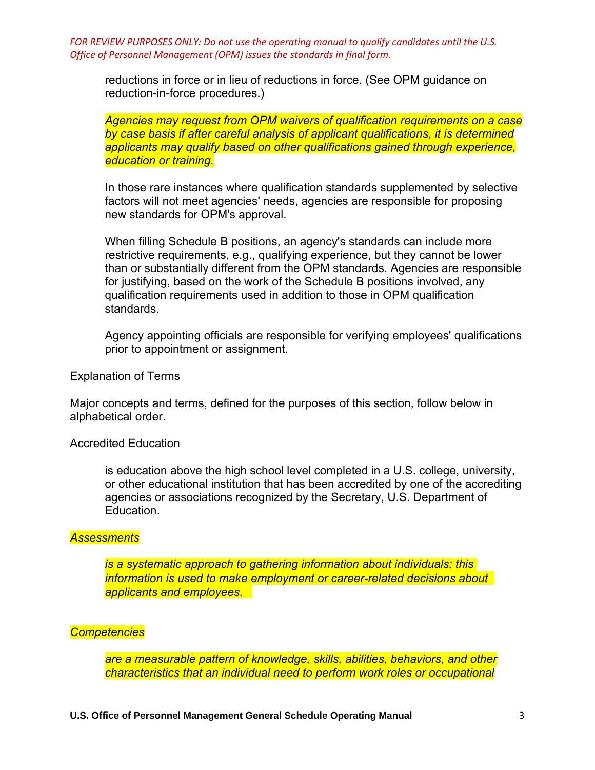reductions in force or in lieu of reductions in force. (See OPM guidance on reduction-in-force procedures.)

*Agencies may request from OPM waivers of qualification requirements on a case by case basis if after careful analysis of applicant qualifications, it is determined applicants may qualify based on other qualifications gained through experience, education or training.*

In those rare instances where qualification standards supplemented by selective factors will not meet agencies' needs, agencies are responsible for proposing new standards for OPM's approval.

When filling Schedule B positions, an agency's standards can include more restrictive requirements, e.g., qualifying experience, but they cannot be lower than or substantially different from the OPM standards. Agencies are responsible for justifying, based on the work of the Schedule B positions involved, any qualification requirements used in addition to those in OPM qualification standards.

Agency appointing officials are responsible for verifying employees' qualifications prior to appointment or assignment.

Explanation of Terms

Major concepts and terms, defined for the purposes of this section, follow below in alphabetical order.

Accredited Education

is education above the high school level completed in a U.S. college, university, or other educational institution that has been accredited by one of the accrediting agencies or associations recognized by the Secretary, U.S. Department of Education.

## *Assessments*

*is a systematic approach to gathering information about individuals; this information is used to make employment or career-related decisions about applicants and employees.*

#### *Competencies*

*are a measurable pattern of knowledge, skills, abilities, behaviors, and other characteristics that an individual need to perform work roles or occupational*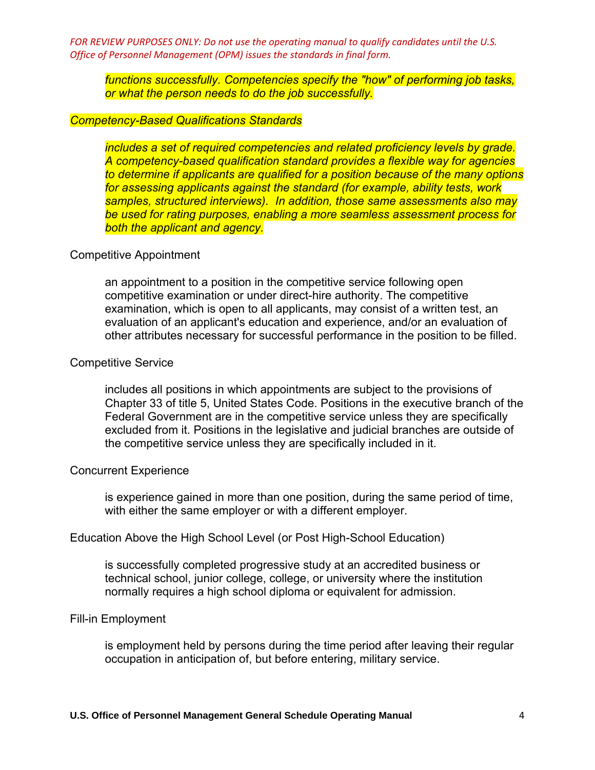*functions successfully. Competencies specify the "how" of performing job tasks, or what the person needs to do the job successfully.* 

## *Competency-Based Qualifications Standards*

*includes a set of required competencies and related proficiency levels by grade. A competency-based qualification standard provides a flexible way for agencies to determine if applicants are qualified for a position because of the many options for assessing applicants against the standard (for example, ability tests, work samples, structured interviews). In addition, those same assessments also may be used for rating purposes, enabling a more seamless assessment process for both the applicant and agency.* 

#### Competitive Appointment

an appointment to a position in the competitive service following open competitive examination or under direct-hire authority. The competitive examination, which is open to all applicants, may consist of a written test, an evaluation of an applicant's education and experience, and/or an evaluation of other attributes necessary for successful performance in the position to be filled.

#### Competitive Service

includes all positions in which appointments are subject to the provisions of Chapter 33 of title 5, United States Code. Positions in the executive branch of the Federal Government are in the competitive service unless they are specifically excluded from it. Positions in the legislative and judicial branches are outside of the competitive service unless they are specifically included in it.

### Concurrent Experience

is experience gained in more than one position, during the same period of time, with either the same employer or with a different employer.

#### Education Above the High School Level (or Post High-School Education)

is successfully completed progressive study at an accredited business or technical school, junior college, college, or university where the institution normally requires a high school diploma or equivalent for admission.

#### Fill-in Employment

is employment held by persons during the time period after leaving their regular occupation in anticipation of, but before entering, military service.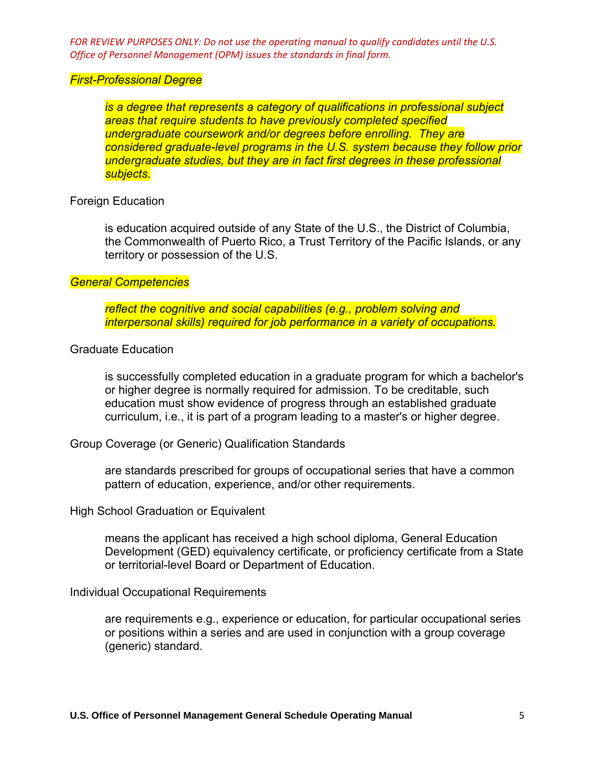#### *First-Professional Degree*

*is a degree that represents a category of qualifications in professional subject areas that require students to have previously completed specified undergraduate coursework and/or degrees before enrolling. They are considered graduate-level programs in the U.S. system because they follow prior undergraduate studies, but they are in fact first degrees in these professional subjects.* 

## Foreign Education

is education acquired outside of any State of the U.S., the District of Columbia, the Commonwealth of Puerto Rico, a Trust Territory of the Pacific Islands, or any territory or possession of the U.S.

## *General Competencies*

*reflect the cognitive and social capabilities (e.g., problem solving and interpersonal skills) required for job performance in a variety of occupations.* 

## Graduate Education

is successfully completed education in a graduate program for which a bachelor's or higher degree is normally required for admission. To be creditable, such education must show evidence of progress through an established graduate curriculum, i.e., it is part of a program leading to a master's or higher degree.

Group Coverage (or Generic) Qualification Standards

are standards prescribed for groups of occupational series that have a common pattern of education, experience, and/or other requirements.

High School Graduation or Equivalent

means the applicant has received a high school diploma, General Education Development (GED) equivalency certificate, or proficiency certificate from a State or territorial-level Board or Department of Education.

Individual Occupational Requirements

are requirements e.g., experience or education, for particular occupational series or positions within a series and are used in conjunction with a group coverage (generic) standard.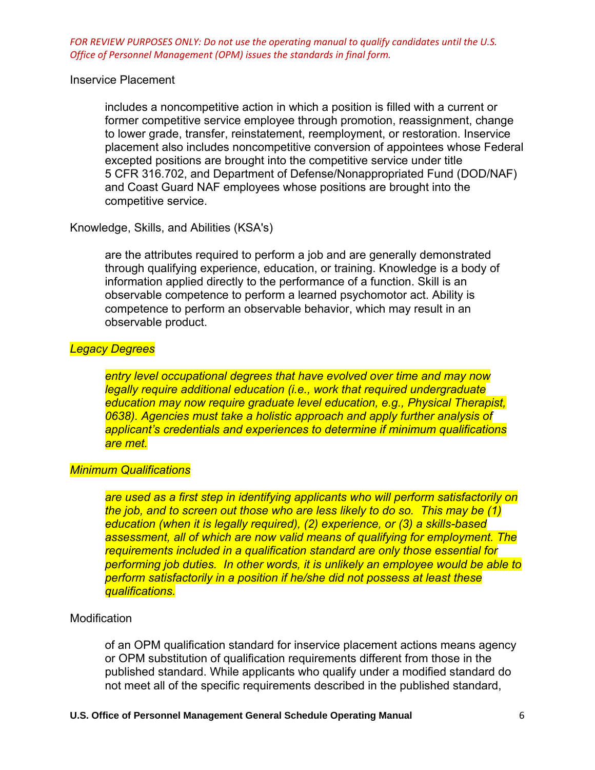## Inservice Placement

includes a noncompetitive action in which a position is filled with a current or former competitive service employee through promotion, reassignment, change to lower grade, transfer, reinstatement, reemployment, or restoration. Inservice placement also includes noncompetitive conversion of appointees whose Federal excepted positions are brought into the competitive service under title 5 CFR 316.702, and Department of Defense/Nonappropriated Fund (DOD/NAF) and Coast Guard NAF employees whose positions are brought into the competitive service.

Knowledge, Skills, and Abilities (KSA's)

are the attributes required to perform a job and are generally demonstrated through qualifying experience, education, or training. Knowledge is a body of information applied directly to the performance of a function. Skill is an observable competence to perform a learned psychomotor act. Ability is competence to perform an observable behavior, which may result in an observable product.

## *Legacy Degrees*

*entry level occupational degrees that have evolved over time and may now legally require additional education (i.e., work that required undergraduate education may now require graduate level education, e.g., Physical Therapist, 0638). Agencies must take a holistic approach and apply further analysis of applicant's credentials and experiences to determine if minimum qualifications are met.* 

## *Minimum Qualifications*

*are used as a first step in identifying applicants who will perform satisfactorily on the job, and to screen out those who are less likely to do so. This may be (1) education (when it is legally required), (2) experience, or (3) a skills-based assessment, all of which are now valid means of qualifying for employment. The requirements included in a qualification standard are only those essential for performing job duties. In other words, it is unlikely an employee would be able to perform satisfactorily in a position if he/she did not possess at least these qualifications.* 

## **Modification**

of an OPM qualification standard for inservice placement actions means agency or OPM substitution of qualification requirements different from those in the published standard. While applicants who qualify under a modified standard do not meet all of the specific requirements described in the published standard,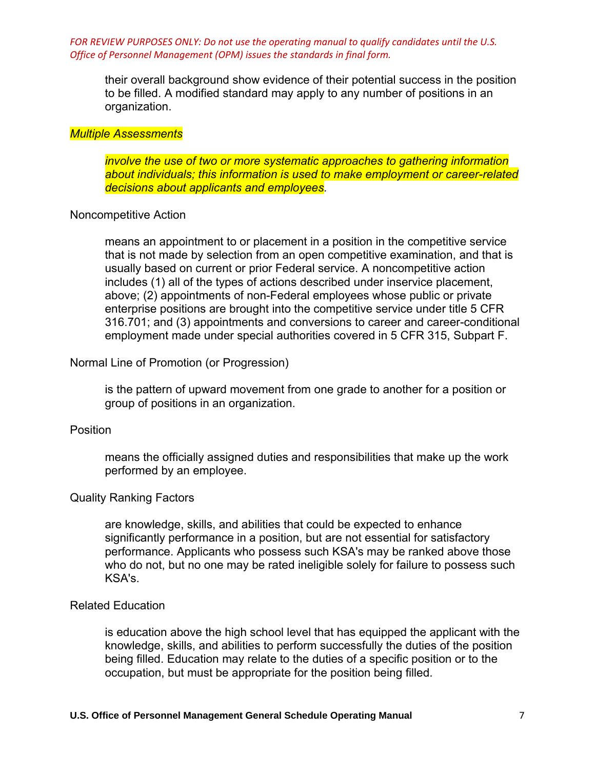their overall background show evidence of their potential success in the position to be filled. A modified standard may apply to any number of positions in an organization.

#### *Multiple Assessments*

*involve the use of two or more systematic approaches to gathering information about individuals; this information is used to make employment or career-related decisions about applicants and employees.* 

#### Noncompetitive Action

means an appointment to or placement in a position in the competitive service that is not made by selection from an open competitive examination, and that is usually based on current or prior Federal service. A noncompetitive action includes (1) all of the types of actions described under inservice placement, above; (2) appointments of non-Federal employees whose public or private enterprise positions are brought into the competitive service under title 5 CFR 316.701; and (3) appointments and conversions to career and career-conditional employment made under special authorities covered in 5 CFR 315, Subpart F.

#### Normal Line of Promotion (or Progression)

is the pattern of upward movement from one grade to another for a position or group of positions in an organization.

## Position

means the officially assigned duties and responsibilities that make up the work performed by an employee.

#### Quality Ranking Factors

are knowledge, skills, and abilities that could be expected to enhance significantly performance in a position, but are not essential for satisfactory performance. Applicants who possess such KSA's may be ranked above those who do not, but no one may be rated ineligible solely for failure to possess such KSA's.

### Related Education

is education above the high school level that has equipped the applicant with the knowledge, skills, and abilities to perform successfully the duties of the position being filled. Education may relate to the duties of a specific position or to the occupation, but must be appropriate for the position being filled.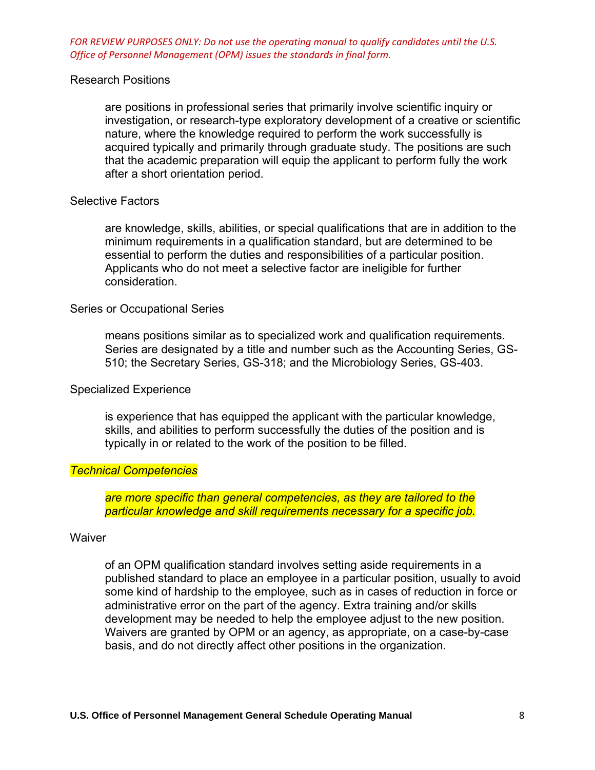## Research Positions

are positions in professional series that primarily involve scientific inquiry or investigation, or research-type exploratory development of a creative or scientific nature, where the knowledge required to perform the work successfully is acquired typically and primarily through graduate study. The positions are such that the academic preparation will equip the applicant to perform fully the work after a short orientation period.

#### Selective Factors

are knowledge, skills, abilities, or special qualifications that are in addition to the minimum requirements in a qualification standard, but are determined to be essential to perform the duties and responsibilities of a particular position. Applicants who do not meet a selective factor are ineligible for further consideration.

#### Series or Occupational Series

means positions similar as to specialized work and qualification requirements. Series are designated by a title and number such as the Accounting Series, GS-510; the Secretary Series, GS-318; and the Microbiology Series, GS-403.

#### Specialized Experience

is experience that has equipped the applicant with the particular knowledge, skills, and abilities to perform successfully the duties of the position and is typically in or related to the work of the position to be filled.

## *Technical Competencies*

*are more specific than general competencies, as they are tailored to the particular knowledge and skill requirements necessary for a specific job.* 

#### **Waiver**

of an OPM qualification standard involves setting aside requirements in a published standard to place an employee in a particular position, usually to avoid some kind of hardship to the employee, such as in cases of reduction in force or administrative error on the part of the agency. Extra training and/or skills development may be needed to help the employee adjust to the new position. Waivers are granted by OPM or an agency, as appropriate, on a case-by-case basis, and do not directly affect other positions in the organization.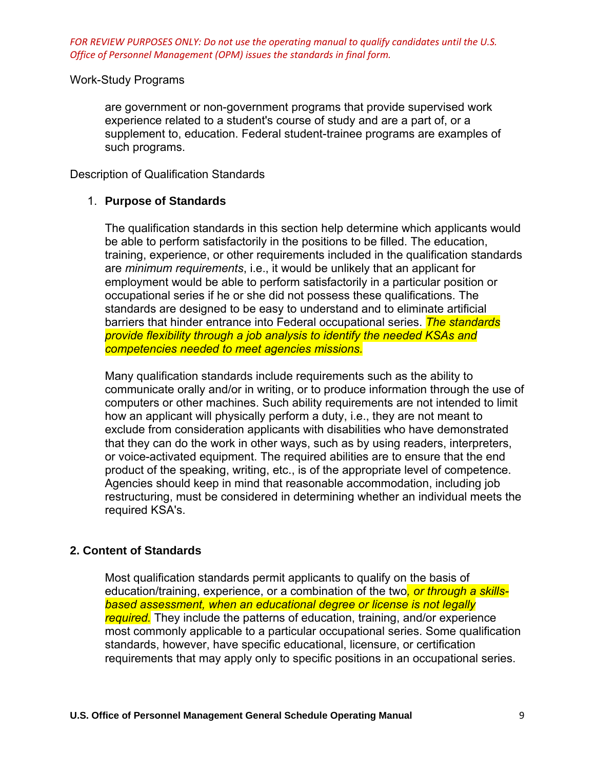## Work-Study Programs

are government or non-government programs that provide supervised work experience related to a student's course of study and are a part of, or a supplement to, education. Federal student-trainee programs are examples of such programs.

Description of Qualification Standards

## 1. **Purpose of Standards**

The qualification standards in this section help determine which applicants would be able to perform satisfactorily in the positions to be filled. The education, training, experience, or other requirements included in the qualification standards are *minimum requirements*, i.e., it would be unlikely that an applicant for employment would be able to perform satisfactorily in a particular position or occupational series if he or she did not possess these qualifications. The standards are designed to be easy to understand and to eliminate artificial barriers that hinder entrance into Federal occupational series. *The standards provide flexibility through a job analysis to identify the needed KSAs and competencies needed to meet agencies missions.*

Many qualification standards include requirements such as the ability to communicate orally and/or in writing, or to produce information through the use of computers or other machines. Such ability requirements are not intended to limit how an applicant will physically perform a duty, i.e., they are not meant to exclude from consideration applicants with disabilities who have demonstrated that they can do the work in other ways, such as by using readers, interpreters, or voice-activated equipment. The required abilities are to ensure that the end product of the speaking, writing, etc., is of the appropriate level of competence. Agencies should keep in mind that reasonable accommodation, including job restructuring, must be considered in determining whether an individual meets the required KSA's.

# **2. Content of Standards**

Most qualification standards permit applicants to qualify on the basis of education/training, experience, or a combination of the two*, or through a skillsbased assessment, when an educational degree or license is not legally required.* They include the patterns of education, training, and/or experience most commonly applicable to a particular occupational series. Some qualification standards, however, have specific educational, licensure, or certification requirements that may apply only to specific positions in an occupational series.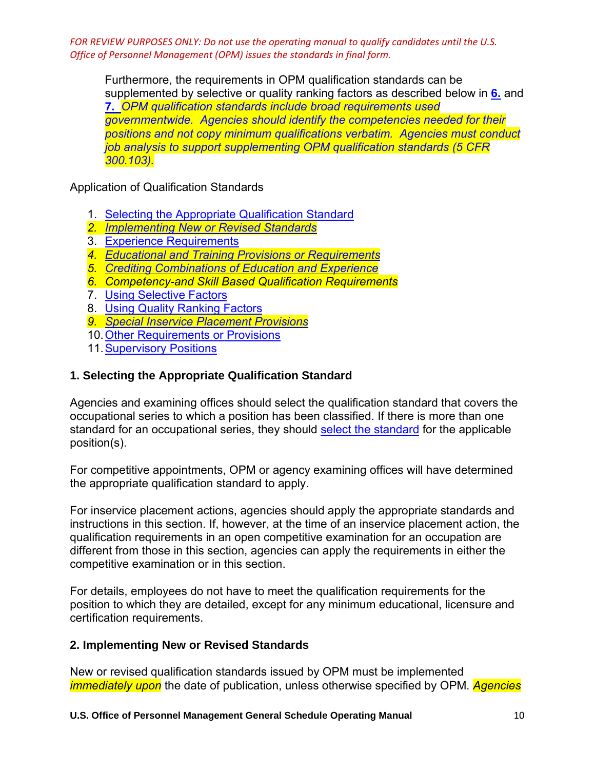Furthermore, the requirements in OPM qualification standards can be supplemented by selective or quality ranking factors as described below in **[6.](https://www.opm.gov/policy-data-oversight/classification-qualifications/general-schedule-qualification-policies/#e6)** and **[7.](https://www.opm.gov/policy-data-oversight/classification-qualifications/general-schedule-qualification-policies/#e7)** *OPM qualification standards include broad requirements used governmentwide. Agencies should identify the competencies needed for their positions and not copy minimum qualifications verbatim. Agencies must conduct job analysis to support supplementing OPM qualification standards (5 CFR 300.103).*

Application of Qualification Standards

- 1. [Selecting the Appropriate Qualification Standard](https://www.opm.gov/policy-data-oversight/classification-qualifications/general-schedule-qualification-policies/#e1)
- *2. [Implementing New or Revised Standards](https://www.opm.gov/policy-data-oversight/classification-qualifications/general-schedule-qualification-policies/#e2)*
- 3. [Experience Requirements](https://www.opm.gov/policy-data-oversight/classification-qualifications/general-schedule-qualification-policies/#e3)
- *4. [Educational and Training Provisions or Requirements](https://www.opm.gov/policy-data-oversight/classification-qualifications/general-schedule-qualification-policies/#e4)*
- *5. [Crediting Combinations of Education and Experience](https://www.opm.gov/policy-data-oversight/classification-qualifications/general-schedule-qualification-policies/#e5)*
- *6. Competency-and Skill Based Qualification Requirements*
- 7. [Using Selective Factors](https://www.opm.gov/policy-data-oversight/classification-qualifications/general-schedule-qualification-policies/#e6)
- 8. [Using Quality Ranking Factors](https://www.opm.gov/policy-data-oversight/classification-qualifications/general-schedule-qualification-policies/#e7)
- *9. [Special Inservice Placement Provisions](https://www.opm.gov/policy-data-oversight/classification-qualifications/general-schedule-qualification-policies/#e8)*
- 10[.Other Requirements or Provisions](https://www.opm.gov/policy-data-oversight/classification-qualifications/general-schedule-qualification-policies/#e9)
- 11. Supervisory Positions

# **1. Selecting the Appropriate Qualification Standard**

Agencies and examining offices should select the qualification standard that covers the occupational series to which a position has been classified. If there is more than one standard for an occupational series, they should [select the standard](https://www.opm.gov/policy-data-oversight/classification-qualifications/general-schedule-qualification-standards/tabs/list-by-occupational-series/) for the applicable position(s).

For competitive appointments, OPM or agency examining offices will have determined the appropriate qualification standard to apply.

For inservice placement actions, agencies should apply the appropriate standards and instructions in this section. If, however, at the time of an inservice placement action, the qualification requirements in an open competitive examination for an occupation are different from those in this section, agencies can apply the requirements in either the competitive examination or in this section.

For details, employees do not have to meet the qualification requirements for the position to which they are detailed, except for any minimum educational, licensure and certification requirements.

# **2. Implementing New or Revised Standards**

New or revised qualification standards issued by OPM must be implemented *immediately upon* the date of publication, unless otherwise specified by OPM*. Agencies*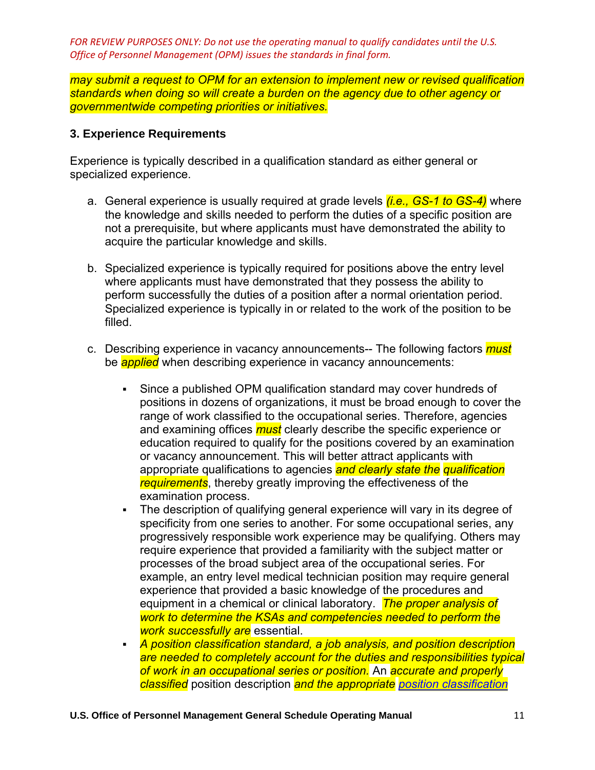*may submit a request to OPM for an extension to implement new or revised qualification standards when doing so will create a burden on the agency due to other agency or governmentwide competing priorities or initiatives.* 

## **3. Experience Requirements**

Experience is typically described in a qualification standard as either general or specialized experience.

- a. General experience is usually required at grade levels *(i.e., GS-1 to GS-4)* where the knowledge and skills needed to perform the duties of a specific position are not a prerequisite, but where applicants must have demonstrated the ability to acquire the particular knowledge and skills.
- b. Specialized experience is typically required for positions above the entry level where applicants must have demonstrated that they possess the ability to perform successfully the duties of a position after a normal orientation period. Specialized experience is typically in or related to the work of the position to be filled.
- c. Describing experience in vacancy announcements-- The following factors *must* be *applied* when describing experience in vacancy announcements:
	- Since a published OPM qualification standard may cover hundreds of positions in dozens of organizations, it must be broad enough to cover the range of work classified to the occupational series. Therefore, agencies and examining offices *must* clearly describe the specific experience or education required to qualify for the positions covered by an examination or vacancy announcement. This will better attract applicants with appropriate qualifications to agencies *and clearly state the qualification requirements*, thereby greatly improving the effectiveness of the examination process.
	- The description of qualifying general experience will vary in its degree of specificity from one series to another. For some occupational series, any progressively responsible work experience may be qualifying. Others may require experience that provided a familiarity with the subject matter or processes of the broad subject area of the occupational series. For example, an entry level medical technician position may require general experience that provided a basic knowledge of the procedures and equipment in a chemical or clinical laboratory. *The proper analysis of work to determine the KSAs and competencies needed to perform the work successfully are* essential.
	- *A position classification standard, a job analysis, and position description are needed to completely account for the duties and responsibilities typical of work in an occupational series or position.* An *accurate and properly classified* position description *and the appropriate [position classification](https://www.opm.gov/policy-data-oversight/classification-qualifications/classifying-general-schedule-positions/tabs/standards/)*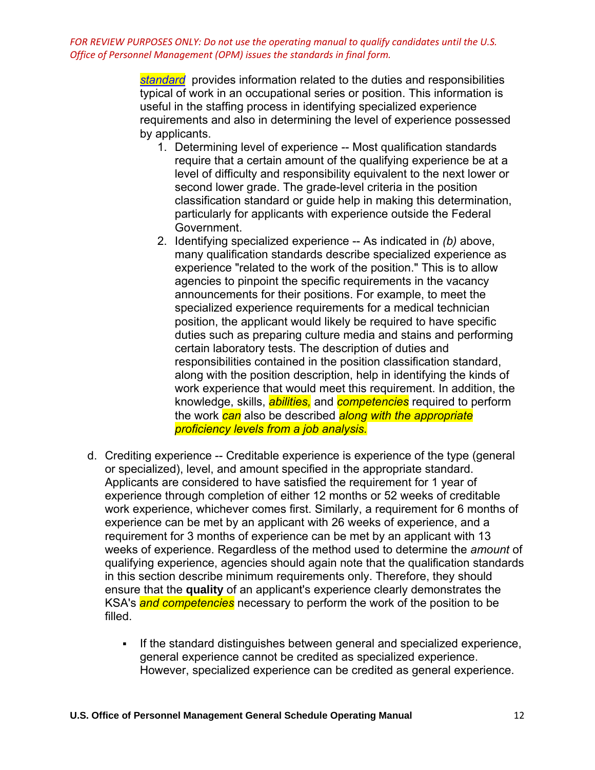> *[standard](https://www.opm.gov/policy-data-oversight/classification-qualifications/classifying-general-schedule-positions/tabs/standards/)* provides information related to the duties and responsibilities typical of work in an occupational series or position. This information is useful in the staffing process in identifying specialized experience requirements and also in determining the level of experience possessed by applicants.

- 1. Determining level of experience -- Most qualification standards require that a certain amount of the qualifying experience be at a level of difficulty and responsibility equivalent to the next lower or second lower grade. The grade-level criteria in the position classification standard or guide help in making this determination, particularly for applicants with experience outside the Federal Government.
- 2. Identifying specialized experience -- As indicated in *(b)* above, many qualification standards describe specialized experience as experience "related to the work of the position." This is to allow agencies to pinpoint the specific requirements in the vacancy announcements for their positions. For example, to meet the specialized experience requirements for a medical technician position, the applicant would likely be required to have specific duties such as preparing culture media and stains and performing certain laboratory tests. The description of duties and responsibilities contained in the position classification standard, along with the position description, help in identifying the kinds of work experience that would meet this requirement. In addition, the knowledge, skills, *abilities,* and *competencies* required to perform the work *can* also be described *along with the appropriate proficiency levels from a job analysis.*
- d. Crediting experience -- Creditable experience is experience of the type (general or specialized), level, and amount specified in the appropriate standard. Applicants are considered to have satisfied the requirement for 1 year of experience through completion of either 12 months or 52 weeks of creditable work experience, whichever comes first. Similarly, a requirement for 6 months of experience can be met by an applicant with 26 weeks of experience, and a requirement for 3 months of experience can be met by an applicant with 13 weeks of experience. Regardless of the method used to determine the *amount* of qualifying experience, agencies should again note that the qualification standards in this section describe minimum requirements only. Therefore, they should ensure that the **quality** of an applicant's experience clearly demonstrates the KSA's *and competencies* necessary to perform the work of the position to be filled.
	- **EXECT** If the standard distinguishes between general and specialized experience, general experience cannot be credited as specialized experience. However, specialized experience can be credited as general experience.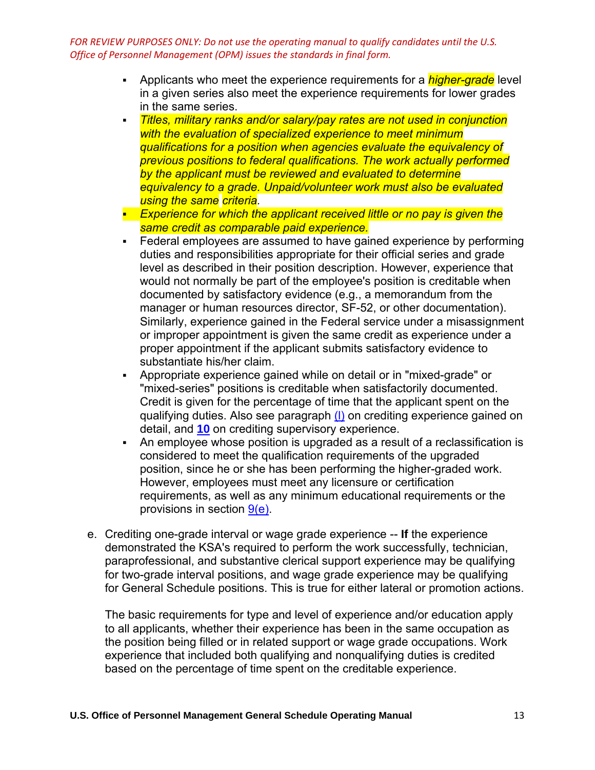- Applicants who meet the experience requirements for a *higher-grade* level in a given series also meet the experience requirements for lower grades in the same series.
- *Titles, military ranks and/or salary/pay rates are not used in conjunction with the evaluation of specialized experience to meet minimum qualifications for a position when agencies evaluate the equivalency of previous positions to federal qualifications. The work actually performed by the applicant must be reviewed and evaluated to determine equivalency to a grade. Unpaid/volunteer work must also be evaluated using the same criteria.*
- **Experience for which the applicant received little or no pay is given the** *same credit as comparable paid experience.*
- Federal employees are assumed to have gained experience by performing duties and responsibilities appropriate for their official series and grade level as described in their position description. However, experience that would not normally be part of the employee's position is creditable when documented by satisfactory evidence (e.g., a memorandum from the manager or human resources director, SF-52, or other documentation). Similarly, experience gained in the Federal service under a misassignment or improper appointment is given the same credit as experience under a proper appointment if the applicant submits satisfactory evidence to substantiate his/her claim.
- Appropriate experience gained while on detail or in "mixed-grade" or "mixed-series" positions is creditable when satisfactorily documented. Credit is given for the percentage of time that the applicant spent on the qualifying duties. Also see paragraph [\(l\)](https://www.opm.gov/policy-data-oversight/classification-qualifications/general-schedule-qualification-policies/#e3l) on crediting experience gained on detail, and **[10](https://www.opm.gov/policy-data-oversight/classification-qualifications/general-schedule-qualification-policies/#e10)** on crediting supervisory experience.
- An employee whose position is upgraded as a result of a reclassification is considered to meet the qualification requirements of the upgraded position, since he or she has been performing the higher-graded work. However, employees must meet any licensure or certification requirements, as well as any minimum educational requirements or the provisions in section [9\(e\).](https://www.opm.gov/policy-data-oversight/classification-qualifications/general-schedule-qualification-policies/#e9)
- e. Crediting one-grade interval or wage grade experience -- **If** the experience demonstrated the KSA's required to perform the work successfully, technician, paraprofessional, and substantive clerical support experience may be qualifying for two-grade interval positions, and wage grade experience may be qualifying for General Schedule positions. This is true for either lateral or promotion actions.

The basic requirements for type and level of experience and/or education apply to all applicants, whether their experience has been in the same occupation as the position being filled or in related support or wage grade occupations. Work experience that included both qualifying and nonqualifying duties is credited based on the percentage of time spent on the creditable experience.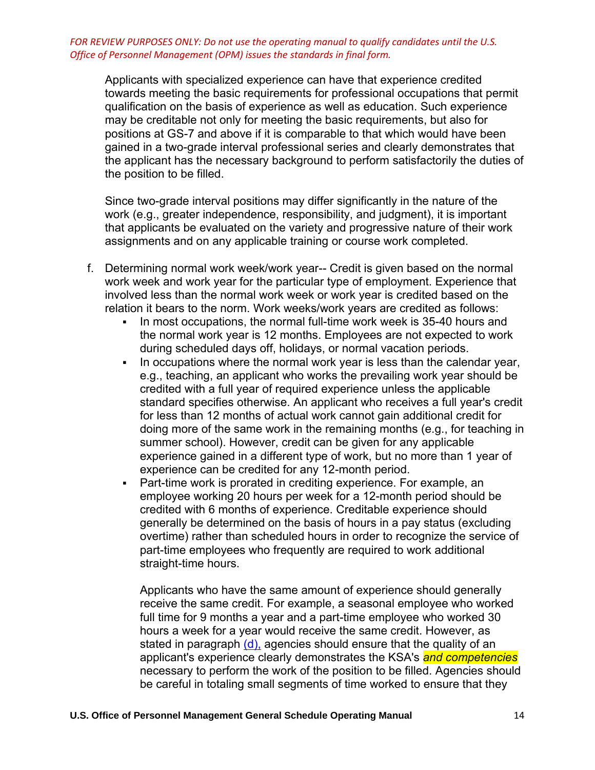Applicants with specialized experience can have that experience credited towards meeting the basic requirements for professional occupations that permit qualification on the basis of experience as well as education. Such experience may be creditable not only for meeting the basic requirements, but also for positions at GS-7 and above if it is comparable to that which would have been gained in a two-grade interval professional series and clearly demonstrates that the applicant has the necessary background to perform satisfactorily the duties of the position to be filled.

Since two-grade interval positions may differ significantly in the nature of the work (e.g., greater independence, responsibility, and judgment), it is important that applicants be evaluated on the variety and progressive nature of their work assignments and on any applicable training or course work completed.

- f. Determining normal work week/work year-- Credit is given based on the normal work week and work year for the particular type of employment. Experience that involved less than the normal work week or work year is credited based on the relation it bears to the norm. Work weeks/work years are credited as follows:
	- In most occupations, the normal full-time work week is 35-40 hours and the normal work year is 12 months. Employees are not expected to work during scheduled days off, holidays, or normal vacation periods.
	- **In occupations where the normal work year is less than the calendar year,** e.g., teaching, an applicant who works the prevailing work year should be credited with a full year of required experience unless the applicable standard specifies otherwise. An applicant who receives a full year's credit for less than 12 months of actual work cannot gain additional credit for doing more of the same work in the remaining months (e.g., for teaching in summer school). However, credit can be given for any applicable experience gained in a different type of work, but no more than 1 year of experience can be credited for any 12-month period.
	- Part-time work is prorated in crediting experience. For example, an employee working 20 hours per week for a 12-month period should be credited with 6 months of experience. Creditable experience should generally be determined on the basis of hours in a pay status (excluding overtime) rather than scheduled hours in order to recognize the service of part-time employees who frequently are required to work additional straight-time hours.

Applicants who have the same amount of experience should generally receive the same credit. For example, a seasonal employee who worked full time for 9 months a year and a part-time employee who worked 30 hours a week for a year would receive the same credit. However, as stated in paragraph  $(d)$ , agencies should ensure that the quality of an applicant's experience clearly demonstrates the KSA's *and competencies* necessary to perform the work of the position to be filled. Agencies should be careful in totaling small segments of time worked to ensure that they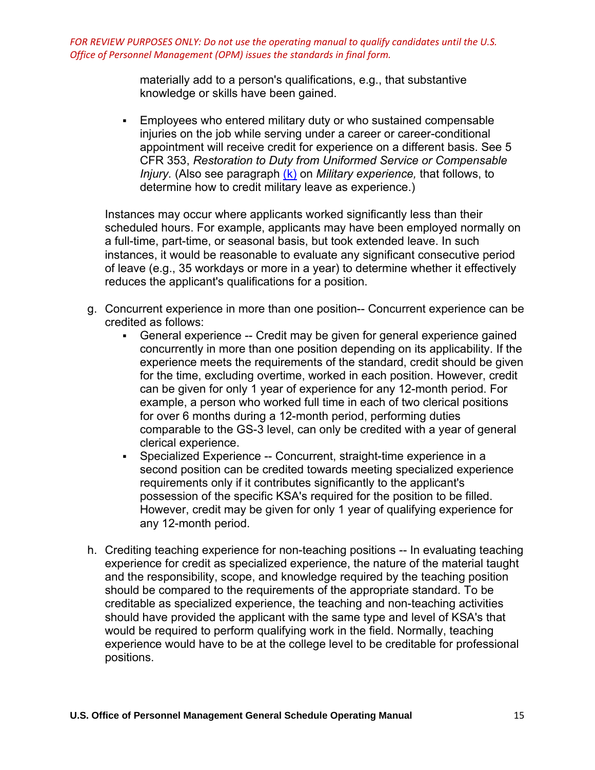> materially add to a person's qualifications, e.g., that substantive knowledge or skills have been gained.

**Employees who entered military duty or who sustained compensable** injuries on the job while serving under a career or career-conditional appointment will receive credit for experience on a different basis. See 5 CFR 353, *Restoration to Duty from Uniformed Service or Compensable Injury.* (Also see paragraph [\(k\)](https://www.opm.gov/policy-data-oversight/classification-qualifications/general-schedule-qualification-policies/#e3k) on *Military experience,* that follows, to determine how to credit military leave as experience.)

Instances may occur where applicants worked significantly less than their scheduled hours. For example, applicants may have been employed normally on a full-time, part-time, or seasonal basis, but took extended leave. In such instances, it would be reasonable to evaluate any significant consecutive period of leave (e.g., 35 workdays or more in a year) to determine whether it effectively reduces the applicant's qualifications for a position.

- g. Concurrent experience in more than one position-- Concurrent experience can be credited as follows:
	- General experience -- Credit may be given for general experience gained concurrently in more than one position depending on its applicability. If the experience meets the requirements of the standard, credit should be given for the time, excluding overtime, worked in each position. However, credit can be given for only 1 year of experience for any 12-month period. For example, a person who worked full time in each of two clerical positions for over 6 months during a 12-month period, performing duties comparable to the GS-3 level, can only be credited with a year of general clerical experience.
	- Specialized Experience -- Concurrent, straight-time experience in a second position can be credited towards meeting specialized experience requirements only if it contributes significantly to the applicant's possession of the specific KSA's required for the position to be filled. However, credit may be given for only 1 year of qualifying experience for any 12-month period.
- h. Crediting teaching experience for non-teaching positions -- In evaluating teaching experience for credit as specialized experience, the nature of the material taught and the responsibility, scope, and knowledge required by the teaching position should be compared to the requirements of the appropriate standard. To be creditable as specialized experience, the teaching and non-teaching activities should have provided the applicant with the same type and level of KSA's that would be required to perform qualifying work in the field. Normally, teaching experience would have to be at the college level to be creditable for professional positions.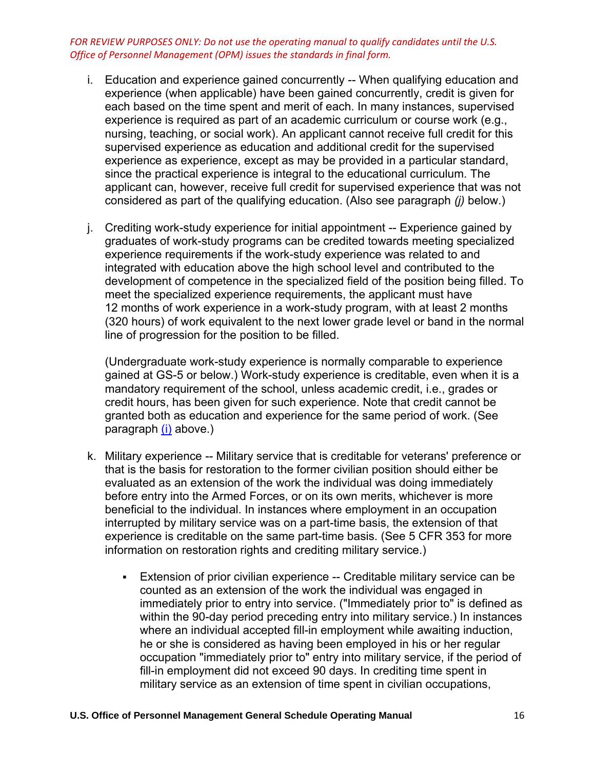- i. Education and experience gained concurrently -- When qualifying education and experience (when applicable) have been gained concurrently, credit is given for each based on the time spent and merit of each. In many instances, supervised experience is required as part of an academic curriculum or course work (e.g., nursing, teaching, or social work). An applicant cannot receive full credit for this supervised experience as education and additional credit for the supervised experience as experience, except as may be provided in a particular standard, since the practical experience is integral to the educational curriculum. The applicant can, however, receive full credit for supervised experience that was not considered as part of the qualifying education. (Also see paragraph *(j)* below.)
- j. Crediting work-study experience for initial appointment -- Experience gained by graduates of work-study programs can be credited towards meeting specialized experience requirements if the work-study experience was related to and integrated with education above the high school level and contributed to the development of competence in the specialized field of the position being filled. To meet the specialized experience requirements, the applicant must have 12 months of work experience in a work-study program, with at least 2 months (320 hours) of work equivalent to the next lower grade level or band in the normal line of progression for the position to be filled.

(Undergraduate work-study experience is normally comparable to experience gained at GS-5 or below.) Work-study experience is creditable, even when it is a mandatory requirement of the school, unless academic credit, i.e., grades or credit hours, has been given for such experience. Note that credit cannot be granted both as education and experience for the same period of work. (See paragraph [\(i\)](https://www.opm.gov/policy-data-oversight/classification-qualifications/general-schedule-qualification-policies/#e3i) above.)

- k. Military experience -- Military service that is creditable for veterans' preference or that is the basis for restoration to the former civilian position should either be evaluated as an extension of the work the individual was doing immediately before entry into the Armed Forces, or on its own merits, whichever is more beneficial to the individual. In instances where employment in an occupation interrupted by military service was on a part-time basis, the extension of that experience is creditable on the same part-time basis. (See 5 CFR 353 for more information on restoration rights and crediting military service.)
	- Extension of prior civilian experience -- Creditable military service can be counted as an extension of the work the individual was engaged in immediately prior to entry into service. ("Immediately prior to" is defined as within the 90-day period preceding entry into military service.) In instances where an individual accepted fill-in employment while awaiting induction, he or she is considered as having been employed in his or her regular occupation "immediately prior to" entry into military service, if the period of fill-in employment did not exceed 90 days. In crediting time spent in military service as an extension of time spent in civilian occupations,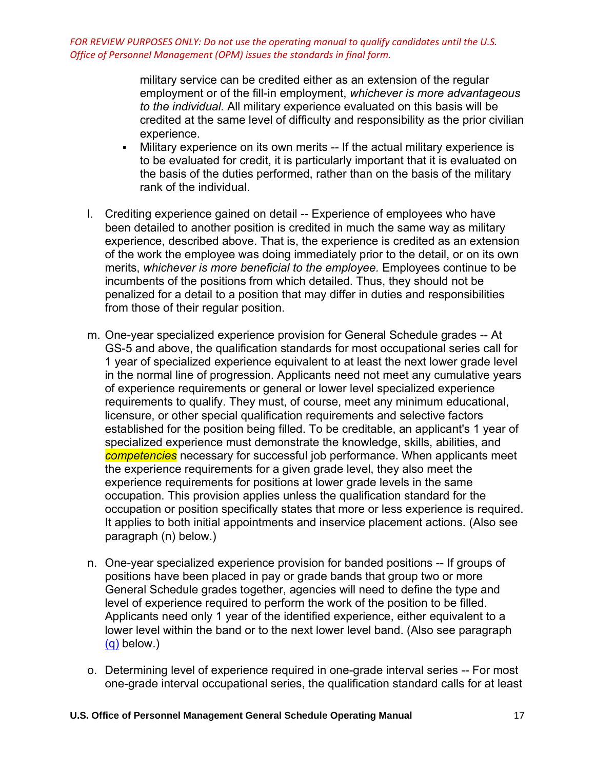> military service can be credited either as an extension of the regular employment or of the fill-in employment, *whichever is more advantageous to the individual.* All military experience evaluated on this basis will be credited at the same level of difficulty and responsibility as the prior civilian experience.

- Military experience on its own merits -- If the actual military experience is to be evaluated for credit, it is particularly important that it is evaluated on the basis of the duties performed, rather than on the basis of the military rank of the individual.
- l. Crediting experience gained on detail -- Experience of employees who have been detailed to another position is credited in much the same way as military experience, described above. That is, the experience is credited as an extension of the work the employee was doing immediately prior to the detail, or on its own merits, *whichever is more beneficial to the employee.* Employees continue to be incumbents of the positions from which detailed. Thus, they should not be penalized for a detail to a position that may differ in duties and responsibilities from those of their regular position.
- m. One-year specialized experience provision for General Schedule grades -- At GS-5 and above, the qualification standards for most occupational series call for 1 year of specialized experience equivalent to at least the next lower grade level in the normal line of progression. Applicants need not meet any cumulative years of experience requirements or general or lower level specialized experience requirements to qualify. They must, of course, meet any minimum educational, licensure, or other special qualification requirements and selective factors established for the position being filled. To be creditable, an applicant's 1 year of specialized experience must demonstrate the knowledge, skills, abilities, and *competencies* necessary for successful job performance. When applicants meet the experience requirements for a given grade level, they also meet the experience requirements for positions at lower grade levels in the same occupation. This provision applies unless the qualification standard for the occupation or position specifically states that more or less experience is required. It applies to both initial appointments and inservice placement actions*.* (Also see paragraph (n) below.)
- n. One-year specialized experience provision for banded positions -- If groups of positions have been placed in pay or grade bands that group two or more General Schedule grades together, agencies will need to define the type and level of experience required to perform the work of the position to be filled. Applicants need only 1 year of the identified experience, either equivalent to a lower level within the band or to the next lower level band. (Also see paragraph [\(q\)](https://www.opm.gov/policy-data-oversight/classification-qualifications/general-schedule-qualification-policies/#e3q) below.)
- o. Determining level of experience required in one-grade interval series -- For most one-grade interval occupational series, the qualification standard calls for at least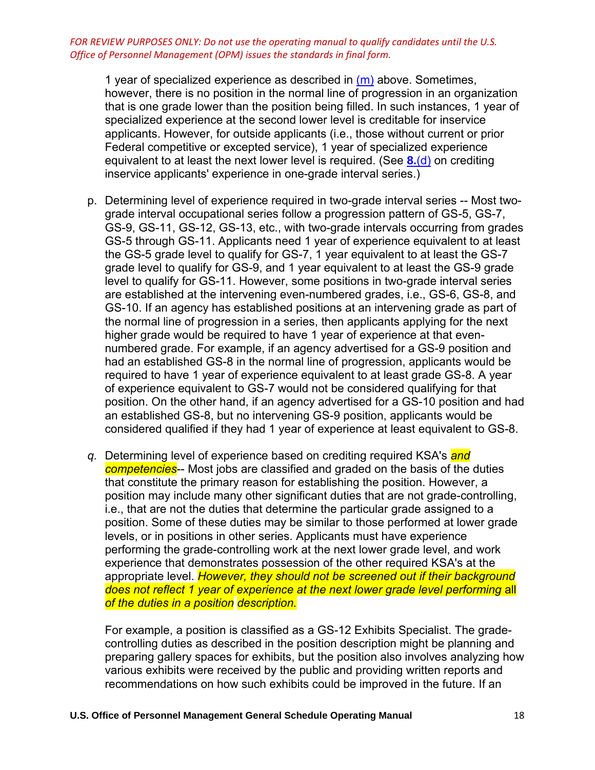1 year of specialized experience as described in  $(m)$  above. Sometimes, however, there is no position in the normal line of progression in an organization that is one grade lower than the position being filled. In such instances, 1 year of specialized experience at the second lower level is creditable for inservice applicants. However, for outside applicants (i.e., those without current or prior Federal competitive or excepted service), 1 year of specialized experience equivalent to at least the next lower level is required. (See **8.**[\(d\)](https://www.opm.gov/policy-data-oversight/classification-qualifications/general-schedule-qualification-policies/#e8d) on crediting inservice applicants' experience in one-grade interval series.)

- p. Determining level of experience required in two-grade interval series -- Most twograde interval occupational series follow a progression pattern of GS-5, GS-7, GS-9, GS-11, GS-12, GS-13, etc., with two-grade intervals occurring from grades GS-5 through GS-11. Applicants need 1 year of experience equivalent to at least the GS-5 grade level to qualify for GS-7, 1 year equivalent to at least the GS-7 grade level to qualify for GS-9, and 1 year equivalent to at least the GS-9 grade level to qualify for GS-11. However, some positions in two-grade interval series are established at the intervening even-numbered grades, i.e., GS-6, GS-8, and GS-10. If an agency has established positions at an intervening grade as part of the normal line of progression in a series, then applicants applying for the next higher grade would be required to have 1 year of experience at that evennumbered grade. For example, if an agency advertised for a GS-9 position and had an established GS-8 in the normal line of progression, applicants would be required to have 1 year of experience equivalent to at least grade GS-8. A year of experience equivalent to GS-7 would not be considered qualifying for that position. On the other hand, if an agency advertised for a GS-10 position and had an established GS-8, but no intervening GS-9 position, applicants would be considered qualified if they had 1 year of experience at least equivalent to GS-8.
- *q.* Determining level of experience based on crediting required KSA's *and competencies*-- Most jobs are classified and graded on the basis of the duties that constitute the primary reason for establishing the position. However, a position may include many other significant duties that are not grade-controlling, i.e., that are not the duties that determine the particular grade assigned to a position. Some of these duties may be similar to those performed at lower grade levels, or in positions in other series. Applicants must have experience performing the grade-controlling work at the next lower grade level, and work experience that demonstrates possession of the other required KSA's at the appropriate level. *However, they should not be screened out if their background* does not reflect 1 year of experience at the next lower grade level performing all *of the duties in a position description.*

For example, a position is classified as a GS-12 Exhibits Specialist. The gradecontrolling duties as described in the position description might be planning and preparing gallery spaces for exhibits, but the position also involves analyzing how various exhibits were received by the public and providing written reports and recommendations on how such exhibits could be improved in the future. If an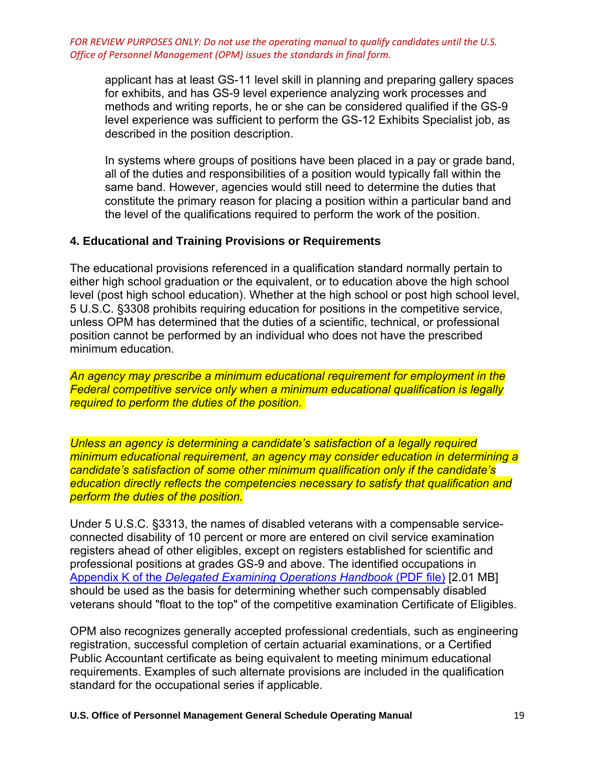applicant has at least GS-11 level skill in planning and preparing gallery spaces for exhibits, and has GS-9 level experience analyzing work processes and methods and writing reports, he or she can be considered qualified if the GS-9 level experience was sufficient to perform the GS-12 Exhibits Specialist job, as described in the position description.

In systems where groups of positions have been placed in a pay or grade band, all of the duties and responsibilities of a position would typically fall within the same band. However, agencies would still need to determine the duties that constitute the primary reason for placing a position within a particular band and the level of the qualifications required to perform the work of the position.

## **4. Educational and Training Provisions or Requirements**

The educational provisions referenced in a qualification standard normally pertain to either high school graduation or the equivalent, or to education above the high school level (post high school education). Whether at the high school or post high school level, 5 U.S.C. §3308 prohibits requiring education for positions in the competitive service, unless OPM has determined that the duties of a scientific, technical, or professional position cannot be performed by an individual who does not have the prescribed minimum education.

*An agency may prescribe a minimum educational requirement for employment in the Federal competitive service only when a minimum educational qualification is legally required to perform the duties of the position.* 

*Unless an agency is determining a candidate's satisfaction of a legally required minimum educational requirement, an agency may consider education in determining a candidate's satisfaction of some other minimum qualification only if the candidate's education directly reflects the competencies necessary to satisfy that qualification and perform the duties of the position.* 

Under 5 U.S.C. §3313, the names of disabled veterans with a compensable serviceconnected disability of 10 percent or more are entered on civil service examination registers ahead of other eligibles, except on registers established for scientific and professional positions at grades GS-9 and above. The identified occupations in Appendix K of the *[Delegated Examining Operations Handbook](https://www.opm.gov/policy-data-oversight/hiring-information/competitive-hiring/deo_handbook.pdf)* (PDF file) [2.01 MB] should be used as the basis for determining whether such compensably disabled veterans should "float to the top" of the competitive examination Certificate of Eligibles.

OPM also recognizes generally accepted professional credentials, such as engineering registration, successful completion of certain actuarial examinations, or a Certified Public Accountant certificate as being equivalent to meeting minimum educational requirements. Examples of such alternate provisions are included in the qualification standard for the occupational series if applicable.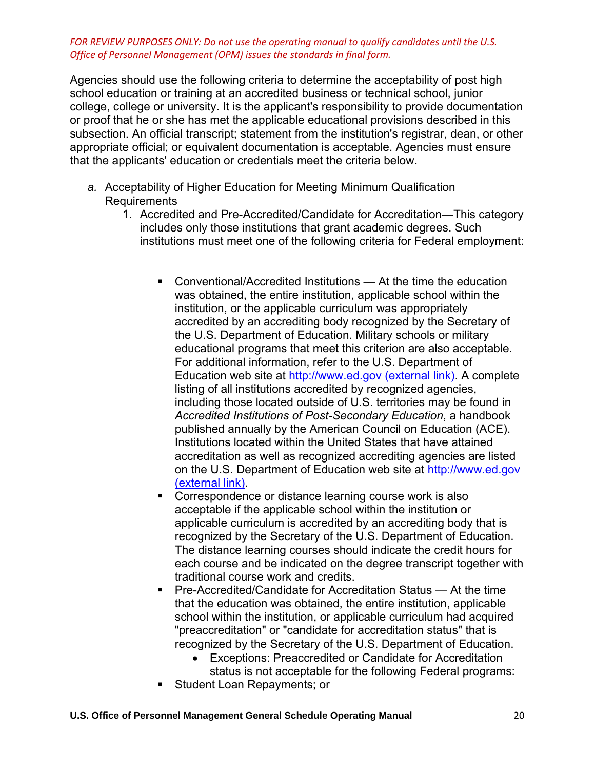Agencies should use the following criteria to determine the acceptability of post high school education or training at an accredited business or technical school, junior college, college or university. It is the applicant's responsibility to provide documentation or proof that he or she has met the applicable educational provisions described in this subsection. An official transcript; statement from the institution's registrar, dean, or other appropriate official; or equivalent documentation is acceptable. Agencies must ensure that the applicants' education or credentials meet the criteria below.

- *a.* Acceptability of Higher Education for Meeting Minimum Qualification Requirements
	- 1. Accredited and Pre-Accredited/Candidate for Accreditation—This category includes only those institutions that grant academic degrees. Such institutions must meet one of the following criteria for Federal employment:
		- Conventional/Accredited Institutions At the time the education was obtained, the entire institution, applicable school within the institution, or the applicable curriculum was appropriately accredited by an accrediting body recognized by the Secretary of the U.S. Department of Education. Military schools or military educational programs that meet this criterion are also acceptable. For additional information, refer to the U.S. Department of Education web site at [http://www.ed.gov \(external link\).](https://www.opm.gov/leaving/index.aspx?link=http://www.ed.gov) A complete listing of all institutions accredited by recognized agencies, including those located outside of U.S. territories may be found in *Accredited Institutions of Post-Secondary Education*, a handbook published annually by the American Council on Education (ACE). Institutions located within the United States that have attained accreditation as well as recognized accrediting agencies are listed on the U.S. Department of Education web site at [http://www.ed.gov](https://www.opm.gov/leaving/index.aspx?link=http://www.ed.gov)  [\(external link\).](https://www.opm.gov/leaving/index.aspx?link=http://www.ed.gov)
		- Correspondence or distance learning course work is also acceptable if the applicable school within the institution or applicable curriculum is accredited by an accrediting body that is recognized by the Secretary of the U.S. Department of Education. The distance learning courses should indicate the credit hours for each course and be indicated on the degree transcript together with traditional course work and credits.
		- Pre-Accredited/Candidate for Accreditation Status At the time that the education was obtained, the entire institution, applicable school within the institution, or applicable curriculum had acquired "preaccreditation" or "candidate for accreditation status" that is recognized by the Secretary of the U.S. Department of Education.
			- Exceptions: Preaccredited or Candidate for Accreditation status is not acceptable for the following Federal programs:
		- Student Loan Repayments; or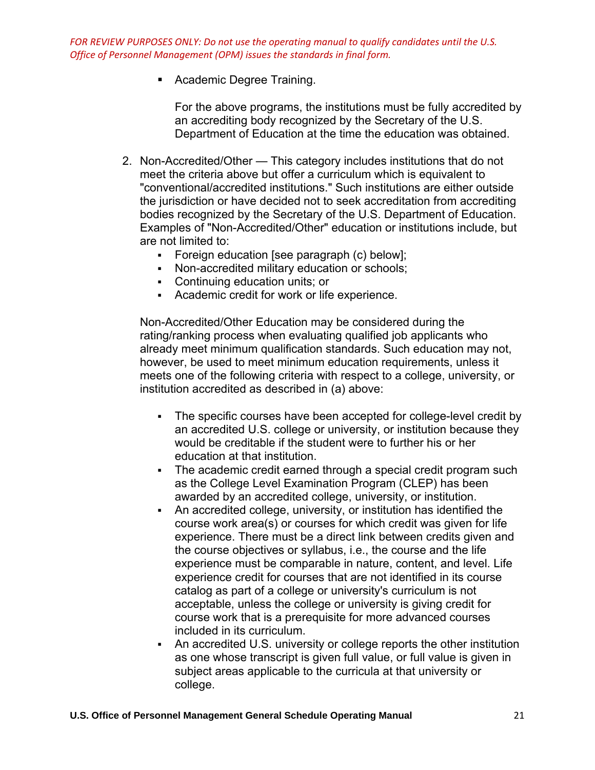■ Academic Degree Training.

For the above programs, the institutions must be fully accredited by an accrediting body recognized by the Secretary of the U.S. Department of Education at the time the education was obtained.

- 2. Non-Accredited/Other This category includes institutions that do not meet the criteria above but offer a curriculum which is equivalent to "conventional/accredited institutions." Such institutions are either outside the jurisdiction or have decided not to seek accreditation from accrediting bodies recognized by the Secretary of the U.S. Department of Education. Examples of "Non-Accredited/Other" education or institutions include, but are not limited to:
	- Foreign education [see paragraph (c) below];
	- Non-accredited military education or schools;
	- Continuing education units; or
	- Academic credit for work or life experience.

Non-Accredited/Other Education may be considered during the rating/ranking process when evaluating qualified job applicants who already meet minimum qualification standards. Such education may not, however, be used to meet minimum education requirements, unless it meets one of the following criteria with respect to a college, university, or institution accredited as described in (a) above:

- The specific courses have been accepted for college-level credit by an accredited U.S. college or university, or institution because they would be creditable if the student were to further his or her education at that institution.
- The academic credit earned through a special credit program such as the College Level Examination Program (CLEP) has been awarded by an accredited college, university, or institution.
- An accredited college, university, or institution has identified the course work area(s) or courses for which credit was given for life experience. There must be a direct link between credits given and the course objectives or syllabus, i.e., the course and the life experience must be comparable in nature, content, and level. Life experience credit for courses that are not identified in its course catalog as part of a college or university's curriculum is not acceptable, unless the college or university is giving credit for course work that is a prerequisite for more advanced courses included in its curriculum.
- An accredited U.S. university or college reports the other institution as one whose transcript is given full value, or full value is given in subject areas applicable to the curricula at that university or college.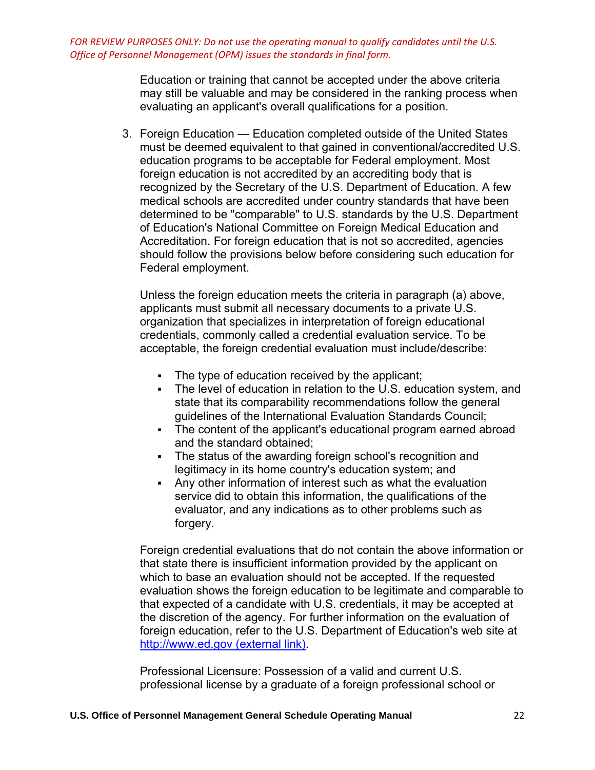> Education or training that cannot be accepted under the above criteria may still be valuable and may be considered in the ranking process when evaluating an applicant's overall qualifications for a position.

3. Foreign Education — Education completed outside of the United States must be deemed equivalent to that gained in conventional/accredited U.S. education programs to be acceptable for Federal employment. Most foreign education is not accredited by an accrediting body that is recognized by the Secretary of the U.S. Department of Education. A few medical schools are accredited under country standards that have been determined to be "comparable" to U.S. standards by the U.S. Department of Education's National Committee on Foreign Medical Education and Accreditation. For foreign education that is not so accredited, agencies should follow the provisions below before considering such education for Federal employment.

Unless the foreign education meets the criteria in paragraph (a) above, applicants must submit all necessary documents to a private U.S. organization that specializes in interpretation of foreign educational credentials, commonly called a credential evaluation service. To be acceptable, the foreign credential evaluation must include/describe:

- The type of education received by the applicant;
- The level of education in relation to the U.S. education system, and state that its comparability recommendations follow the general guidelines of the International Evaluation Standards Council;
- The content of the applicant's educational program earned abroad and the standard obtained;
- The status of the awarding foreign school's recognition and legitimacy in its home country's education system; and
- Any other information of interest such as what the evaluation service did to obtain this information, the qualifications of the evaluator, and any indications as to other problems such as forgery.

Foreign credential evaluations that do not contain the above information or that state there is insufficient information provided by the applicant on which to base an evaluation should not be accepted. If the requested evaluation shows the foreign education to be legitimate and comparable to that expected of a candidate with U.S. credentials, it may be accepted at the discretion of the agency. For further information on the evaluation of foreign education, refer to the U.S. Department of Education's web site at [http://www.ed.gov \(external link\).](https://www.opm.gov/leaving/index.aspx?link=http://www.ed.gov)

Professional Licensure: Possession of a valid and current U.S. professional license by a graduate of a foreign professional school or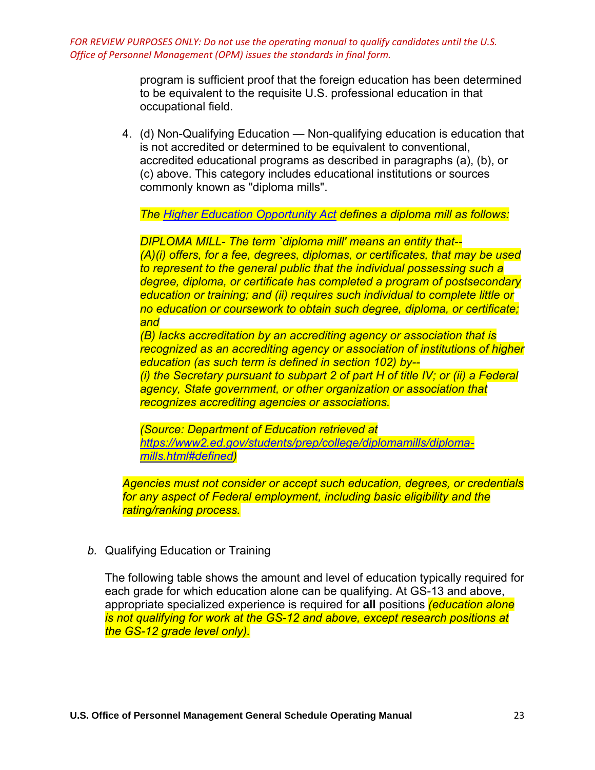> program is sufficient proof that the foreign education has been determined to be equivalent to the requisite U.S. professional education in that occupational field.

4. (d) Non-Qualifying Education — Non-qualifying education is education that is not accredited or determined to be equivalent to conventional, accredited educational programs as described in paragraphs (a), (b), or (c) above. This category includes educational institutions or sources commonly known as "diploma mills".

*The [Higher Education Opportunity Act](https://www2.ed.gov/policy/highered/leg/hea08/index.html) defines a diploma mill as follows:* 

*DIPLOMA MILL- The term `diploma mill' means an entity that-- (A)(i) offers, for a fee, degrees, diplomas, or certificates, that may be used to represent to the general public that the individual possessing such a degree, diploma, or certificate has completed a program of postsecondary education or training; and (ii) requires such individual to complete little or no education or coursework to obtain such degree, diploma, or certificate; and*

*(B) lacks accreditation by an accrediting agency or association that is recognized as an accrediting agency or association of institutions of higher education (as such term is defined in section 102) by-- (i) the Secretary pursuant to subpart 2 of part H of title IV; or (ii) a Federal agency, State government, or other organization or association that recognizes accrediting agencies or associations.* 

*(Source: Department of Education retrieved at [https://www2.ed.gov/students/prep/college/diplomamills/diploma](https://www2.ed.gov/students/prep/college/diplomamills/diploma-mills.html#defined)[mills.html#defined\)](https://www2.ed.gov/students/prep/college/diplomamills/diploma-mills.html#defined)* 

*Agencies must not consider or accept such education, degrees, or credentials for any aspect of Federal employment, including basic eligibility and the rating/ranking process.*

*b.* Qualifying Education or Training

The following table shows the amount and level of education typically required for each grade for which education alone can be qualifying. At GS-13 and above, appropriate specialized experience is required for **all** positions *(education alone is not qualifying for work at the GS-12 and above, except research positions at the GS-12 grade level only).*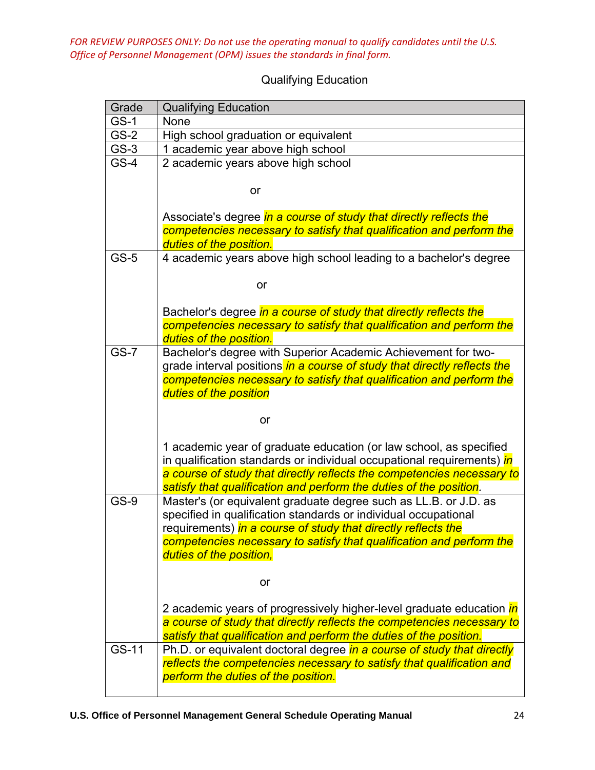| <b>Qualifying Education</b> |
|-----------------------------|
|                             |

| Grade       | <b>Qualifying Education</b>                                                 |
|-------------|-----------------------------------------------------------------------------|
| <b>GS-1</b> | None                                                                        |
| $GS-2$      | High school graduation or equivalent                                        |
| $GS-3$      | 1 academic year above high school                                           |
| $GS-4$      | 2 academic years above high school                                          |
|             | or                                                                          |
|             |                                                                             |
|             | Associate's degree in a course of study that directly reflects the          |
|             | competencies necessary to satisfy that qualification and perform the        |
|             | duties of the position.                                                     |
| $GS-5$      | 4 academic years above high school leading to a bachelor's degree           |
|             | or                                                                          |
|             | Bachelor's degree in a course of study that directly reflects the           |
|             | competencies necessary to satisfy that qualification and perform the        |
|             | duties of the position.                                                     |
| $GS-7$      | Bachelor's degree with Superior Academic Achievement for two-               |
|             | grade interval positions in a course of study that directly reflects the    |
|             | competencies necessary to satisfy that qualification and perform the        |
|             | duties of the position                                                      |
|             |                                                                             |
|             | or                                                                          |
|             | 1 academic year of graduate education (or law school, as specified          |
|             | in qualification standards or individual occupational requirements) in      |
|             | a course of study that directly reflects the competencies necessary to      |
|             | satisfy that qualification and perform the duties of the position.          |
| GS-9        | Master's (or equivalent graduate degree such as LL.B. or J.D. as            |
|             | specified in qualification standards or individual occupational             |
|             | requirements) in a course of study that directly reflects the               |
|             | competencies necessary to satisfy that qualification and perform the        |
|             | duties of the position,                                                     |
|             |                                                                             |
|             | or                                                                          |
|             | 2 academic years of progressively higher-level graduate education <i>in</i> |
|             | a course of study that directly reflects the competencies necessary to      |
|             | satisfy that qualification and perform the duties of the position.          |
| GS-11       | Ph.D. or equivalent doctoral degree in a course of study that directly      |
|             | reflects the competencies necessary to satisfy that qualification and       |
|             | perform the duties of the position.                                         |
|             |                                                                             |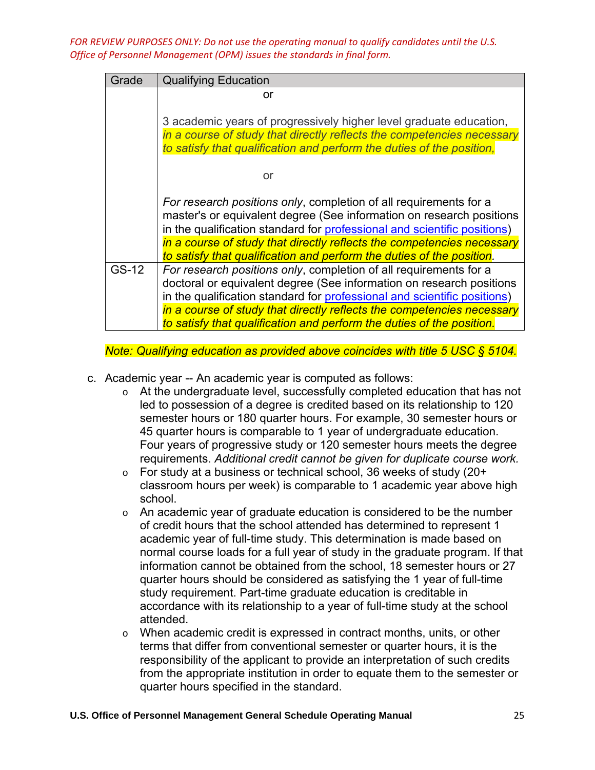| Grade | <b>Qualifying Education</b>                                                                                                                                                                                                                                                                                                                                              |
|-------|--------------------------------------------------------------------------------------------------------------------------------------------------------------------------------------------------------------------------------------------------------------------------------------------------------------------------------------------------------------------------|
|       | or                                                                                                                                                                                                                                                                                                                                                                       |
|       | 3 academic years of progressively higher level graduate education,<br>in a course of study that directly reflects the competencies necessary<br>to satisfy that qualification and perform the duties of the position,                                                                                                                                                    |
|       | or                                                                                                                                                                                                                                                                                                                                                                       |
|       | For research positions only, completion of all requirements for a<br>master's or equivalent degree (See information on research positions<br>in the qualification standard for professional and scientific positions)<br>in a course of study that directly reflects the competencies necessary<br>to satisfy that qualification and perform the duties of the position. |
| GS-12 | For research positions only, completion of all requirements for a<br>doctoral or equivalent degree (See information on research positions<br>in the qualification standard for professional and scientific positions)<br>in a course of study that directly reflects the competencies necessary<br>to satisfy that qualification and perform the duties of the position. |

*Note: Qualifying education as provided above coincides with title 5 USC § 5104.*

- c. Academic year -- An academic year is computed as follows:
	- o At the undergraduate level, successfully completed education that has not led to possession of a degree is credited based on its relationship to 120 semester hours or 180 quarter hours. For example, 30 semester hours or 45 quarter hours is comparable to 1 year of undergraduate education. Four years of progressive study or 120 semester hours meets the degree requirements. *Additional credit cannot be given for duplicate course work.*
	- $\circ$  For study at a business or technical school, 36 weeks of study (20+ classroom hours per week) is comparable to 1 academic year above high school.
	- $\circ$  An academic year of graduate education is considered to be the number of credit hours that the school attended has determined to represent 1 academic year of full-time study. This determination is made based on normal course loads for a full year of study in the graduate program. If that information cannot be obtained from the school, 18 semester hours or 27 quarter hours should be considered as satisfying the 1 year of full-time study requirement. Part-time graduate education is creditable in accordance with its relationship to a year of full-time study at the school attended.
	- o When academic credit is expressed in contract months, units, or other terms that differ from conventional semester or quarter hours, it is the responsibility of the applicant to provide an interpretation of such credits from the appropriate institution in order to equate them to the semester or quarter hours specified in the standard.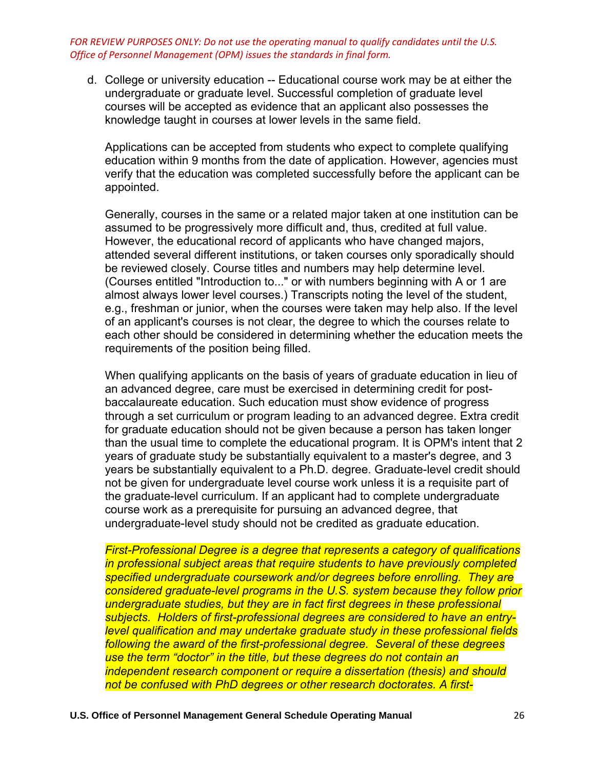d. College or university education -- Educational course work may be at either the undergraduate or graduate level. Successful completion of graduate level courses will be accepted as evidence that an applicant also possesses the knowledge taught in courses at lower levels in the same field.

Applications can be accepted from students who expect to complete qualifying education within 9 months from the date of application. However, agencies must verify that the education was completed successfully before the applicant can be appointed.

Generally, courses in the same or a related major taken at one institution can be assumed to be progressively more difficult and, thus, credited at full value. However, the educational record of applicants who have changed majors, attended several different institutions, or taken courses only sporadically should be reviewed closely. Course titles and numbers may help determine level. (Courses entitled "Introduction to..." or with numbers beginning with A or 1 are almost always lower level courses.) Transcripts noting the level of the student, e.g., freshman or junior, when the courses were taken may help also. If the level of an applicant's courses is not clear, the degree to which the courses relate to each other should be considered in determining whether the education meets the requirements of the position being filled.

When qualifying applicants on the basis of years of graduate education in lieu of an advanced degree, care must be exercised in determining credit for postbaccalaureate education. Such education must show evidence of progress through a set curriculum or program leading to an advanced degree. Extra credit for graduate education should not be given because a person has taken longer than the usual time to complete the educational program. It is OPM's intent that 2 years of graduate study be substantially equivalent to a master's degree, and 3 years be substantially equivalent to a Ph.D. degree. Graduate-level credit should not be given for undergraduate level course work unless it is a requisite part of the graduate-level curriculum. If an applicant had to complete undergraduate course work as a prerequisite for pursuing an advanced degree, that undergraduate-level study should not be credited as graduate education.

*First-Professional Degree is a degree that represents a category of qualifications in professional subject areas that require students to have previously completed specified undergraduate coursework and/or degrees before enrolling. They are considered graduate-level programs in the U.S. system because they follow prior undergraduate studies, but they are in fact first degrees in these professional subjects. Holders of first-professional degrees are considered to have an entrylevel qualification and may undertake graduate study in these professional fields following the award of the first-professional degree. Several of these degrees use the term "doctor" in the title, but these degrees do not contain an independent research component or require a dissertation (thesis) and should not be confused with PhD degrees or other research doctorates. A first-*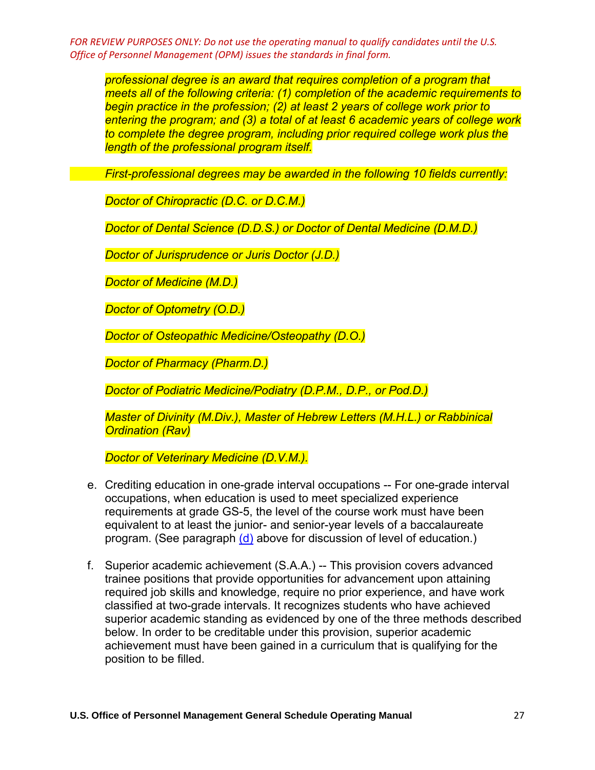*professional degree is an award that requires completion of a program that meets all of the following criteria: (1) completion of the academic requirements to begin practice in the profession; (2) at least 2 years of college work prior to entering the program; and (3) a total of at least 6 academic years of college work*  to complete the degree program, including prior required college work plus the *length of the professional program itself.* 

*First-professional degrees may be awarded in the following 10 fields currently:* 

*Doctor of Chiropractic (D.C. or D.C.M.)* 

*Doctor of Dental Science (D.D.S.) or Doctor of Dental Medicine (D.M.D.)* 

*Doctor of Jurisprudence or Juris Doctor (J.D.)* 

*Doctor of Medicine (M.D.)* 

*Doctor of Optometry (O.D.)* 

*Doctor of Osteopathic Medicine/Osteopathy (D.O.)* 

*Doctor of Pharmacy (Pharm.D.)*

*Doctor of Podiatric Medicine/Podiatry (D.P.M., D.P., or Pod.D.)* 

*Master of Divinity (M.Div.), Master of Hebrew Letters (M.H.L.) or Rabbinical Ordination (Rav)* 

*Doctor of Veterinary Medicine (D.V.M.).*

- e. Crediting education in one-grade interval occupations -- For one-grade interval occupations, when education is used to meet specialized experience requirements at grade GS-5, the level of the course work must have been equivalent to at least the junior- and senior-year levels of a baccalaureate program. (See paragraph [\(d\)](https://www.opm.gov/policy-data-oversight/classification-qualifications/general-schedule-qualification-policies/#e4d) above for discussion of level of education.)
- f. Superior academic achievement (S.A.A.) -- This provision covers advanced trainee positions that provide opportunities for advancement upon attaining required job skills and knowledge, require no prior experience, and have work classified at two-grade intervals. It recognizes students who have achieved superior academic standing as evidenced by one of the three methods described below. In order to be creditable under this provision, superior academic achievement must have been gained in a curriculum that is qualifying for the position to be filled.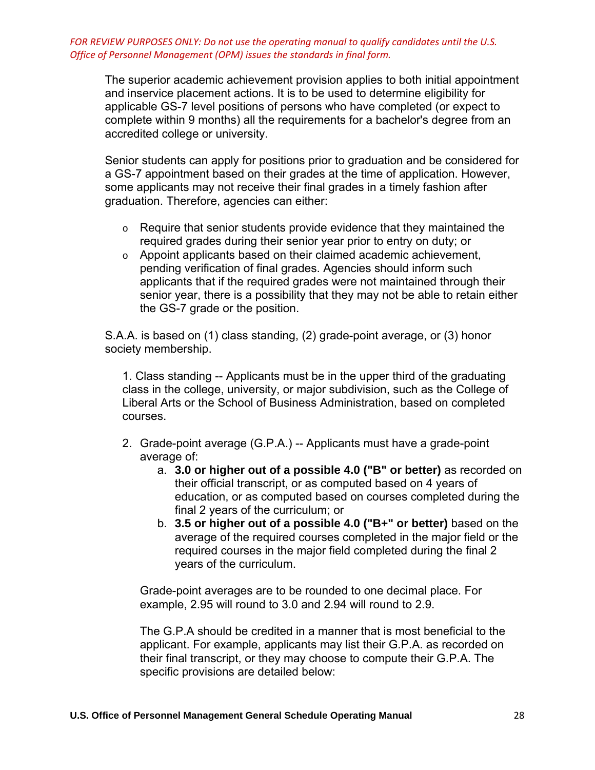The superior academic achievement provision applies to both initial appointment and inservice placement actions. It is to be used to determine eligibility for applicable GS-7 level positions of persons who have completed (or expect to complete within 9 months) all the requirements for a bachelor's degree from an accredited college or university.

Senior students can apply for positions prior to graduation and be considered for a GS-7 appointment based on their grades at the time of application. However, some applicants may not receive their final grades in a timely fashion after graduation. Therefore, agencies can either:

- o Require that senior students provide evidence that they maintained the required grades during their senior year prior to entry on duty; or
- o Appoint applicants based on their claimed academic achievement, pending verification of final grades. Agencies should inform such applicants that if the required grades were not maintained through their senior year, there is a possibility that they may not be able to retain either the GS-7 grade or the position.

S.A.A. is based on (1) class standing, (2) grade-point average, or (3) honor society membership.

1. Class standing -- Applicants must be in the upper third of the graduating class in the college, university, or major subdivision, such as the College of Liberal Arts or the School of Business Administration, based on completed courses.

- 2. Grade-point average (G.P.A.) -- Applicants must have a grade-point average of:
	- a. **3.0 or higher out of a possible 4.0 ("B" or better)** as recorded on their official transcript, or as computed based on 4 years of education, or as computed based on courses completed during the final 2 years of the curriculum; or
	- b. **3.5 or higher out of a possible 4.0 ("B+" or better)** based on the average of the required courses completed in the major field or the required courses in the major field completed during the final 2 years of the curriculum.

Grade-point averages are to be rounded to one decimal place. For example, 2.95 will round to 3.0 and 2.94 will round to 2.9.

The G.P.A should be credited in a manner that is most beneficial to the applicant. For example, applicants may list their G.P.A. as recorded on their final transcript, or they may choose to compute their G.P.A. The specific provisions are detailed below: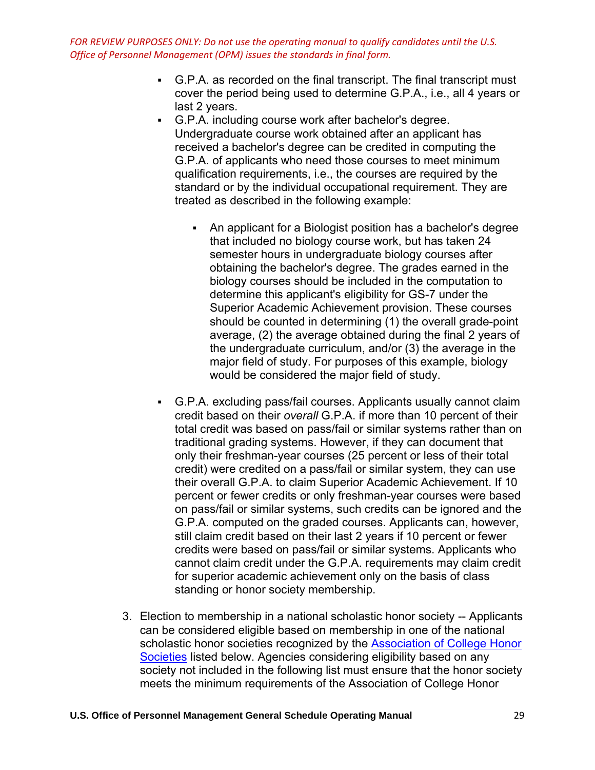- G.P.A. as recorded on the final transcript. The final transcript must cover the period being used to determine G.P.A., i.e., all 4 years or last 2 years.
- G.P.A. including course work after bachelor's degree. Undergraduate course work obtained after an applicant has received a bachelor's degree can be credited in computing the G.P.A. of applicants who need those courses to meet minimum qualification requirements, i.e., the courses are required by the standard or by the individual occupational requirement. They are treated as described in the following example:
	- An applicant for a Biologist position has a bachelor's degree that included no biology course work, but has taken 24 semester hours in undergraduate biology courses after obtaining the bachelor's degree. The grades earned in the biology courses should be included in the computation to determine this applicant's eligibility for GS-7 under the Superior Academic Achievement provision. These courses should be counted in determining (1) the overall grade-point average, (2) the average obtained during the final 2 years of the undergraduate curriculum, and/or (3) the average in the major field of study. For purposes of this example, biology would be considered the major field of study.
- G.P.A. excluding pass/fail courses. Applicants usually cannot claim credit based on their *overall* G.P.A. if more than 10 percent of their total credit was based on pass/fail or similar systems rather than on traditional grading systems. However, if they can document that only their freshman-year courses (25 percent or less of their total credit) were credited on a pass/fail or similar system, they can use their overall G.P.A. to claim Superior Academic Achievement. If 10 percent or fewer credits or only freshman-year courses were based on pass/fail or similar systems, such credits can be ignored and the G.P.A. computed on the graded courses. Applicants can, however, still claim credit based on their last 2 years if 10 percent or fewer credits were based on pass/fail or similar systems. Applicants who cannot claim credit under the G.P.A. requirements may claim credit for superior academic achievement only on the basis of class standing or honor society membership.
- 3. Election to membership in a national scholastic honor society -- Applicants can be considered eligible based on membership in one of the national scholastic honor societies recognized by the Association of College Honor [Societies](https://www.achshonor.org/) listed below. Agencies considering eligibility based on any society not included in the following list must ensure that the honor society meets the minimum requirements of the Association of College Honor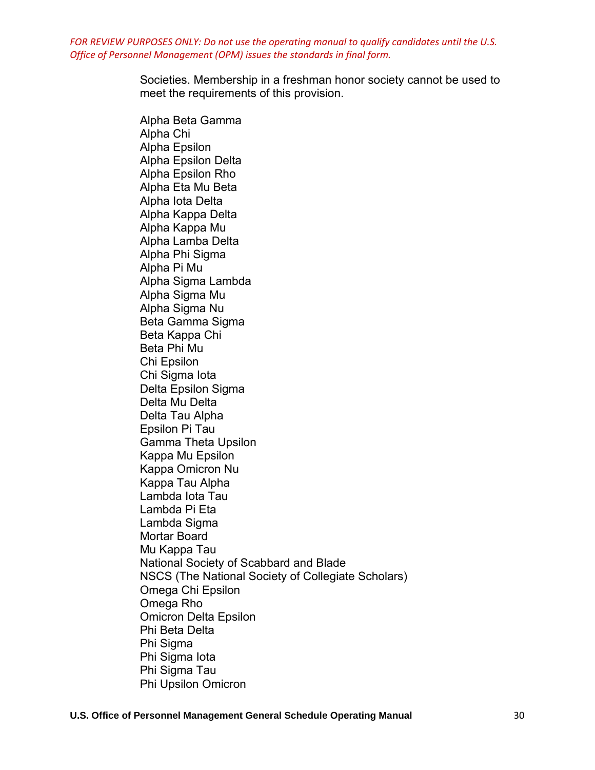> Societies. Membership in a freshman honor society cannot be used to meet the requirements of this provision.

Alpha Beta Gamma Alpha Chi Alpha Epsilon Alpha Epsilon Delta Alpha Epsilon Rho Alpha Eta Mu Beta Alpha Iota Delta Alpha Kappa Delta Alpha Kappa Mu Alpha Lamba Delta Alpha Phi Sigma Alpha Pi Mu Alpha Sigma Lambda Alpha Sigma Mu Alpha Sigma Nu Beta Gamma Sigma Beta Kappa Chi Beta Phi Mu Chi Epsilon Chi Sigma Iota Delta Epsilon Sigma Delta Mu Delta Delta Tau Alpha Epsilon Pi Tau Gamma Theta Upsilon Kappa Mu Epsilon Kappa Omicron Nu Kappa Tau Alpha Lambda Iota Tau Lambda Pi Eta Lambda Sigma Mortar Board Mu Kappa Tau National Society of Scabbard and Blade NSCS (The National Society of Collegiate Scholars) Omega Chi Epsilon Omega Rho Omicron Delta Epsilon Phi Beta Delta Phi Sigma Phi Sigma Iota Phi Sigma Tau Phi Upsilon Omicron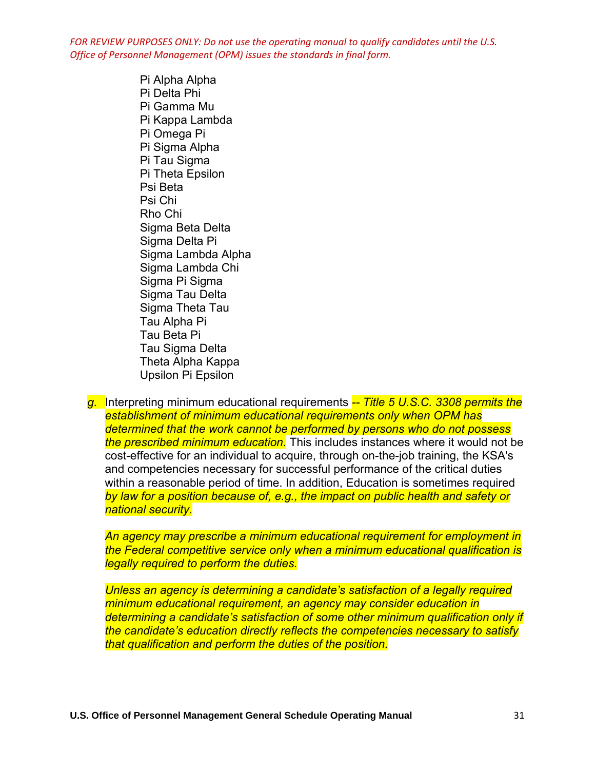> Pi Alpha Alpha Pi Delta Phi Pi Gamma Mu Pi Kappa Lambda Pi Omega Pi Pi Sigma Alpha Pi Tau Sigma Pi Theta Epsilon Psi Beta Psi Chi Rho Chi Sigma Beta Delta Sigma Delta Pi Sigma Lambda Alpha Sigma Lambda Chi Sigma Pi Sigma Sigma Tau Delta Sigma Theta Tau Tau Alpha Pi Tau Beta Pi Tau Sigma Delta Theta Alpha Kappa Upsilon Pi Epsilon

*g.* Interpreting minimum educational requirements *-- Title 5 U.S.C. 3308 permits the establishment of minimum educational requirements only when OPM has determined that the work cannot be performed by persons who do not possess the prescribed minimum education.* This includes instances where it would not be cost-effective for an individual to acquire, through on-the-job training, the KSA's and competencies necessary for successful performance of the critical duties within a reasonable period of time. In addition, Education is sometimes required *by law for a position because of, e.g., the impact on public health and safety or national security.* 

*An agency may prescribe a minimum educational requirement for employment in the Federal competitive service only when a minimum educational qualification is legally required to perform the duties.* 

*Unless an agency is determining a candidate's satisfaction of a legally required minimum educational requirement, an agency may consider education in determining a candidate's satisfaction of some other minimum qualification only if the candidate's education directly reflects the competencies necessary to satisfy that qualification and perform the duties of the position.*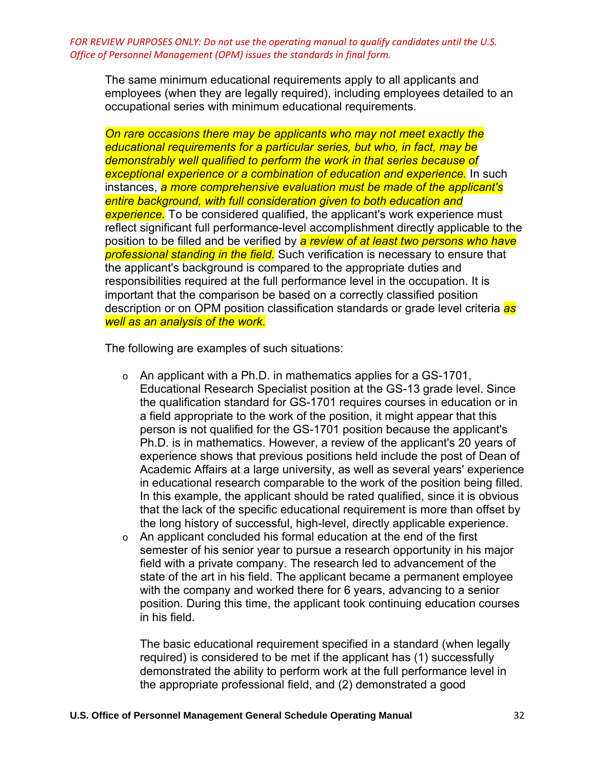The same minimum educational requirements apply to all applicants and employees (when they are legally required), including employees detailed to an occupational series with minimum educational requirements.

*On rare occasions there may be applicants who may not meet exactly the educational requirements for a particular series, but who, in fact, may be demonstrably well qualified to perform the work in that series because of exceptional experience or a combination of education and experience.* In such instances, *a more comprehensive evaluation must be made of the applicant's entire background, with full consideration given to both education and experience.* To be considered qualified, the applicant's work experience must reflect significant full performance-level accomplishment directly applicable to the position to be filled and be verified by *a review of at least two persons who have professional standing in the field.* Such verification is necessary to ensure that the applicant's background is compared to the appropriate duties and responsibilities required at the full performance level in the occupation. It is important that the comparison be based on a correctly classified position description or on OPM position classification standards or grade level criteria *as well as an analysis of the work.* 

The following are examples of such situations:

- $\circ$  An applicant with a Ph.D. in mathematics applies for a GS-1701, Educational Research Specialist position at the GS-13 grade level. Since the qualification standard for GS-1701 requires courses in education or in a field appropriate to the work of the position, it might appear that this person is not qualified for the GS-1701 position because the applicant's Ph.D. is in mathematics. However, a review of the applicant's 20 years of experience shows that previous positions held include the post of Dean of Academic Affairs at a large university, as well as several years' experience in educational research comparable to the work of the position being filled. In this example, the applicant should be rated qualified, since it is obvious that the lack of the specific educational requirement is more than offset by the long history of successful, high-level, directly applicable experience.
- o An applicant concluded his formal education at the end of the first semester of his senior year to pursue a research opportunity in his major field with a private company. The research led to advancement of the state of the art in his field. The applicant became a permanent employee with the company and worked there for 6 years, advancing to a senior position. During this time, the applicant took continuing education courses in his field.

The basic educational requirement specified in a standard (when legally required) is considered to be met if the applicant has (1) successfully demonstrated the ability to perform work at the full performance level in the appropriate professional field, and (2) demonstrated a good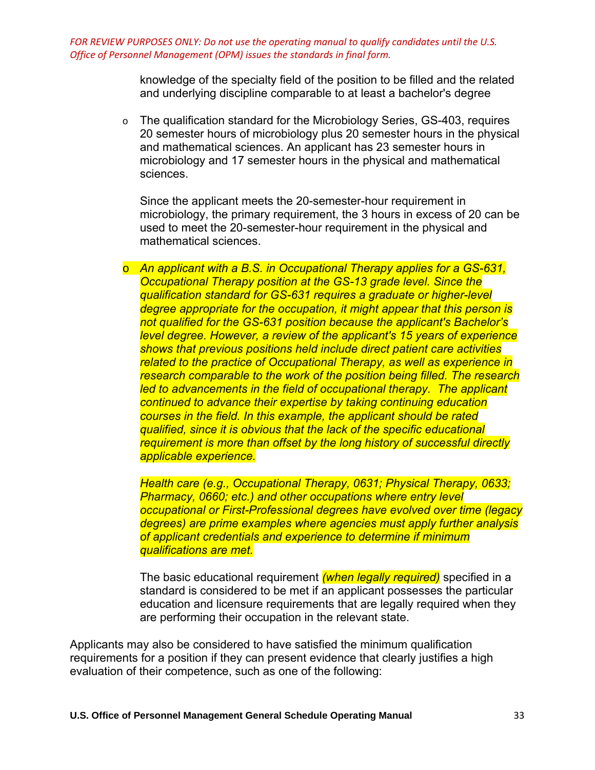> knowledge of the specialty field of the position to be filled and the related and underlying discipline comparable to at least a bachelor's degree

o The qualification standard for the Microbiology Series, GS-403, requires 20 semester hours of microbiology plus 20 semester hours in the physical and mathematical sciences. An applicant has 23 semester hours in microbiology and 17 semester hours in the physical and mathematical sciences.

Since the applicant meets the 20-semester-hour requirement in microbiology, the primary requirement, the 3 hours in excess of 20 can be used to meet the 20-semester-hour requirement in the physical and mathematical sciences.

o *An applicant with a B.S. in Occupational Therapy applies for a GS-631, Occupational Therapy position at the GS-13 grade level. Since the qualification standard for GS-631 requires a graduate or higher-level degree appropriate for the occupation, it might appear that this person is not qualified for the GS-631 position because the applicant's Bachelor's level degree. However, a review of the applicant's 15 years of experience shows that previous positions held include direct patient care activities related to the practice of Occupational Therapy, as well as experience in research comparable to the work of the position being filled. The research led to advancements in the field of occupational therapy. The applicant continued to advance their expertise by taking continuing education courses in the field. In this example, the applicant should be rated qualified, since it is obvious that the lack of the specific educational requirement is more than offset by the long history of successful directly applicable experience.* 

*Health care (e.g., Occupational Therapy, 0631; Physical Therapy, 0633; Pharmacy, 0660; etc.) and other occupations where entry level occupational or First-Professional degrees have evolved over time (legacy degrees) are prime examples where agencies must apply further analysis of applicant credentials and experience to determine if minimum qualifications are met.* 

The basic educational requirement *(when legally required)* specified in a standard is considered to be met if an applicant possesses the particular education and licensure requirements that are legally required when they are performing their occupation in the relevant state.

Applicants may also be considered to have satisfied the minimum qualification requirements for a position if they can present evidence that clearly justifies a high evaluation of their competence, such as one of the following: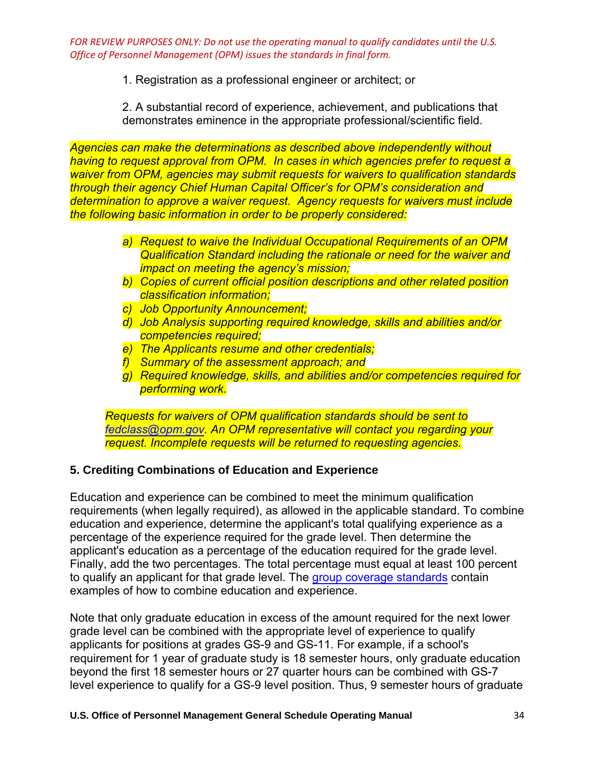1. Registration as a professional engineer or architect; or

2. A substantial record of experience, achievement, and publications that demonstrates eminence in the appropriate professional/scientific field.

*Agencies can make the determinations as described above independently without having to request approval from OPM. In cases in which agencies prefer to request a waiver from OPM, agencies may submit requests for waivers to qualification standards through their agency Chief Human Capital Officer's for OPM's consideration and determination to approve a waiver request. Agency requests for waivers must include the following basic information in order to be properly considered:* 

- *a) Request to waive the Individual Occupational Requirements of an OPM Qualification Standard including the rationale or need for the waiver and impact on meeting the agency's mission;*
- *b) Copies of current official position descriptions and other related position classification information;*
- *c) Job Opportunity Announcement;*
- *d) Job Analysis supporting required knowledge, skills and abilities and/or competencies required;*
- *e) The Applicants resume and other credentials;*
- *f) Summary of the assessment approach; and*
- *g) Required knowledge, skills, and abilities and/or competencies required for performing work.*

*Requests for waivers of OPM qualification standards should be sent to [fedclass@opm.gov.](mailto:fedclass@opm.gov) An OPM representative will contact you regarding your request. Incomplete requests will be returned to requesting agencies.*

# **5. Crediting Combinations of Education and Experience**

Education and experience can be combined to meet the minimum qualification requirements (when legally required), as allowed in the applicable standard. To combine education and experience, determine the applicant's total qualifying experience as a percentage of the experience required for the grade level. Then determine the applicant's education as a percentage of the education required for the grade level. Finally, add the two percentages. The total percentage must equal at least 100 percent to qualify an applicant for that grade level. Th[e group coverage standards](https://www.opm.gov/policy-data-oversight/classification-qualifications/general-schedule-qualification-standards/tabs/group-standards/) contain examples of how to combine education and experience.

Note that only graduate education in excess of the amount required for the next lower grade level can be combined with the appropriate level of experience to qualify applicants for positions at grades GS-9 and GS-11. For example, if a school's requirement for 1 year of graduate study is 18 semester hours, only graduate education beyond the first 18 semester hours or 27 quarter hours can be combined with GS-7 level experience to qualify for a GS-9 level position. Thus, 9 semester hours of graduate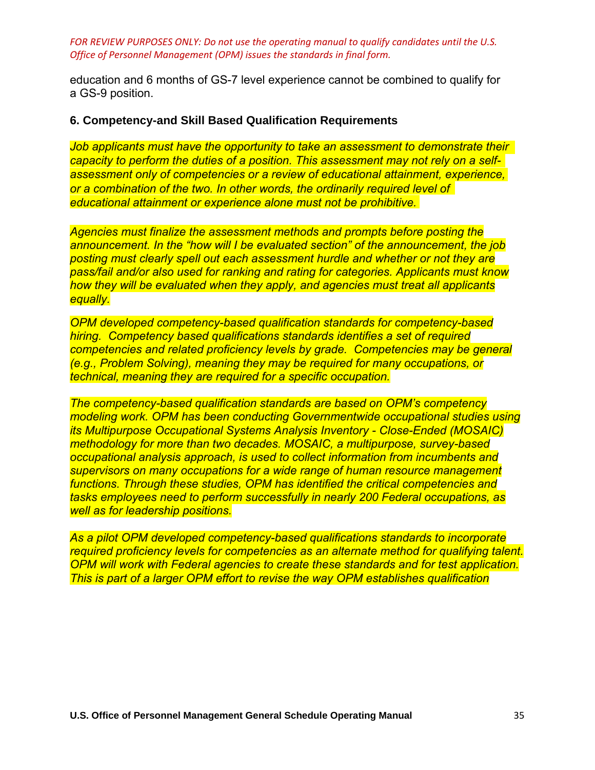education and 6 months of GS-7 level experience cannot be combined to qualify for a GS-9 position.

## **6. Competency-and Skill Based Qualification Requirements**

*Job applicants must have the opportunity to take an assessment to demonstrate their capacity to perform the duties of a position. This assessment may not rely on a selfassessment only of competencies or a review of educational attainment, experience, or a combination of the two. In other words, the ordinarily required level of educational attainment or experience alone must not be prohibitive.*

*Agencies must finalize the assessment methods and prompts before posting the announcement. In the "how will I be evaluated section" of the announcement, the job posting must clearly spell out each assessment hurdle and whether or not they are pass/fail and/or also used for ranking and rating for categories. Applicants must know how they will be evaluated when they apply, and agencies must treat all applicants equally.* 

*OPM developed competency-based qualification standards for competency-based hiring. Competency based qualifications standards identifies a set of required competencies and related proficiency levels by grade. Competencies may be general (e.g., Problem Solving), meaning they may be required for many occupations, or technical, meaning they are required for a specific occupation.* 

*The competency-based qualification standards are based on OPM's competency modeling work. OPM has been conducting Governmentwide occupational studies using its Multipurpose Occupational Systems Analysis Inventory - Close-Ended (MOSAIC) methodology for more than two decades. MOSAIC, a multipurpose, survey-based occupational analysis approach, is used to collect information from incumbents and supervisors on many occupations for a wide range of human resource management functions. Through these studies, OPM has identified the critical competencies and tasks employees need to perform successfully in nearly 200 Federal occupations, as well as for leadership positions.* 

*As a pilot OPM developed competency-based qualifications standards to incorporate required proficiency levels for competencies as an alternate method for qualifying talent. OPM will work with Federal agencies to create these standards and for test application. This is part of a larger OPM effort to revise the way OPM establishes qualification*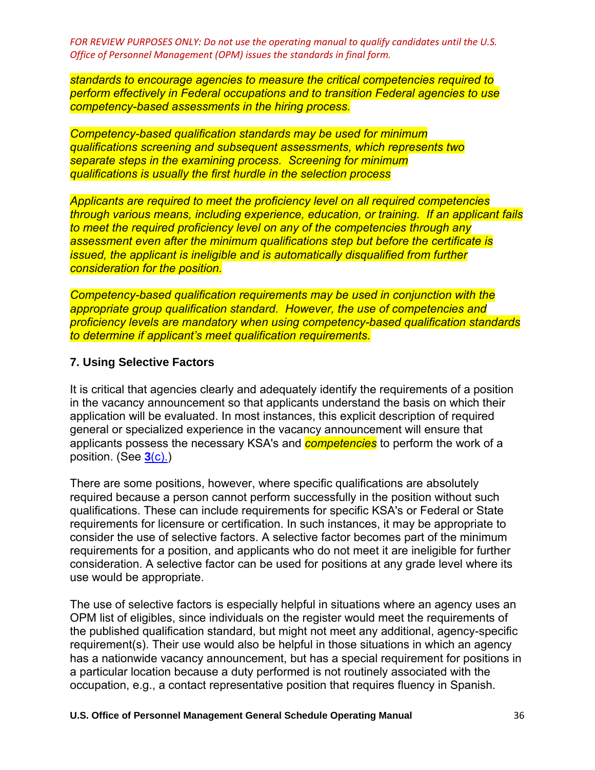*standards to encourage agencies to measure the critical competencies required to perform effectively in Federal occupations and to transition Federal agencies to use competency-based assessments in the hiring process.* 

*Competency-based qualification standards may be used for minimum qualifications screening and subsequent assessments, which represents two separate steps in the examining process. Screening for minimum qualifications is usually the first hurdle in the selection process* 

*Applicants are required to meet the proficiency level on all required competencies through various means, including experience, education, or training. If an applicant fails to meet the required proficiency level on any of the competencies through any assessment even after the minimum qualifications step but before the certificate is issued, the applicant is ineligible and is automatically disqualified from further consideration for the position.* 

*Competency-based qualification requirements may be used in conjunction with the appropriate group qualification standard. However, the use of competencies and proficiency levels are mandatory when using competency-based qualification standards to determine if applicant's meet qualification requirements.*

## **7. Using Selective Factors**

It is critical that agencies clearly and adequately identify the requirements of a position in the vacancy announcement so that applicants understand the basis on which their application will be evaluated. In most instances, this explicit description of required general or specialized experience in the vacancy announcement will ensure that applicants possess the necessary KSA's and *competencies* to perform the work of a position. (See **3**[\(c\).\)](https://www.opm.gov/policy-data-oversight/classification-qualifications/general-schedule-qualification-policies/#e3c)

There are some positions, however, where specific qualifications are absolutely required because a person cannot perform successfully in the position without such qualifications. These can include requirements for specific KSA's or Federal or State requirements for licensure or certification. In such instances, it may be appropriate to consider the use of selective factors. A selective factor becomes part of the minimum requirements for a position, and applicants who do not meet it are ineligible for further consideration. A selective factor can be used for positions at any grade level where its use would be appropriate.

The use of selective factors is especially helpful in situations where an agency uses an OPM list of eligibles, since individuals on the register would meet the requirements of the published qualification standard, but might not meet any additional, agency-specific requirement(s). Their use would also be helpful in those situations in which an agency has a nationwide vacancy announcement, but has a special requirement for positions in a particular location because a duty performed is not routinely associated with the occupation, e.g., a contact representative position that requires fluency in Spanish.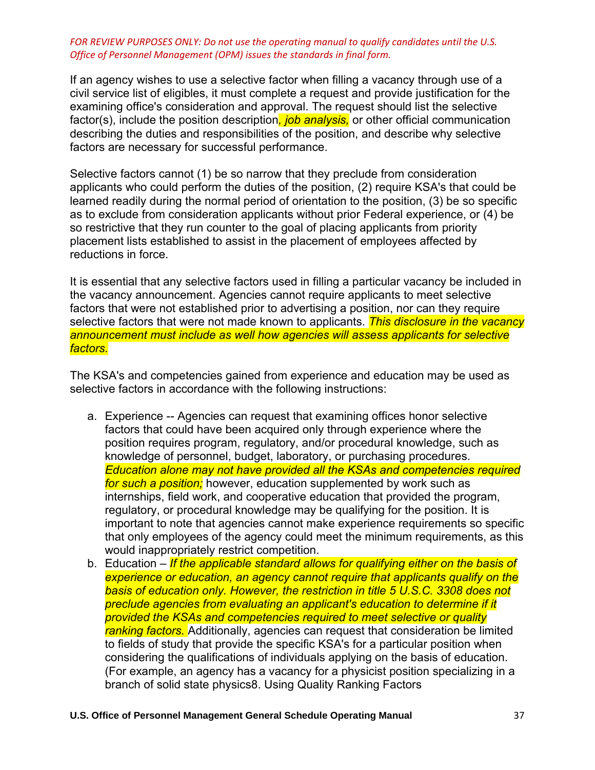If an agency wishes to use a selective factor when filling a vacancy through use of a civil service list of eligibles, it must complete a request and provide justification for the examining office's consideration and approval. The request should list the selective factor(s), include the position description*, job analysis,* or other official communication describing the duties and responsibilities of the position, and describe why selective factors are necessary for successful performance.

Selective factors cannot (1) be so narrow that they preclude from consideration applicants who could perform the duties of the position, (2) require KSA's that could be learned readily during the normal period of orientation to the position, (3) be so specific as to exclude from consideration applicants without prior Federal experience, or (4) be so restrictive that they run counter to the goal of placing applicants from priority placement lists established to assist in the placement of employees affected by reductions in force.

It is essential that any selective factors used in filling a particular vacancy be included in the vacancy announcement. Agencies cannot require applicants to meet selective factors that were not established prior to advertising a position, nor can they require selective factors that were not made known to applicants. *This disclosure in the vacancy announcement must include as well how agencies will assess applicants for selective factors.* 

The KSA's and competencies gained from experience and education may be used as selective factors in accordance with the following instructions:

- a. Experience -- Agencies can request that examining offices honor selective factors that could have been acquired only through experience where the position requires program, regulatory, and/or procedural knowledge, such as knowledge of personnel, budget, laboratory, or purchasing procedures. *Education alone may not have provided all the KSAs and competencies required for such a position;* however, education supplemented by work such as internships, field work, and cooperative education that provided the program, regulatory, or procedural knowledge may be qualifying for the position. It is important to note that agencies cannot make experience requirements so specific that only employees of the agency could meet the minimum requirements, as this would inappropriately restrict competition.
- b. Education *If the applicable standard allows for qualifying either on the basis of experience or education, an agency cannot require that applicants qualify on the basis of education only. However, the restriction in title 5 U.S.C. 3308 does not preclude agencies from evaluating an applicant's education to determine if it provided the KSAs and competencies required to meet selective or quality ranking factors.* Additionally, agencies can request that consideration be limited to fields of study that provide the specific KSA's for a particular position when considering the qualifications of individuals applying on the basis of education. (For example, an agency has a vacancy for a physicist position specializing in a branch of solid state physics8. Using Quality Ranking Factors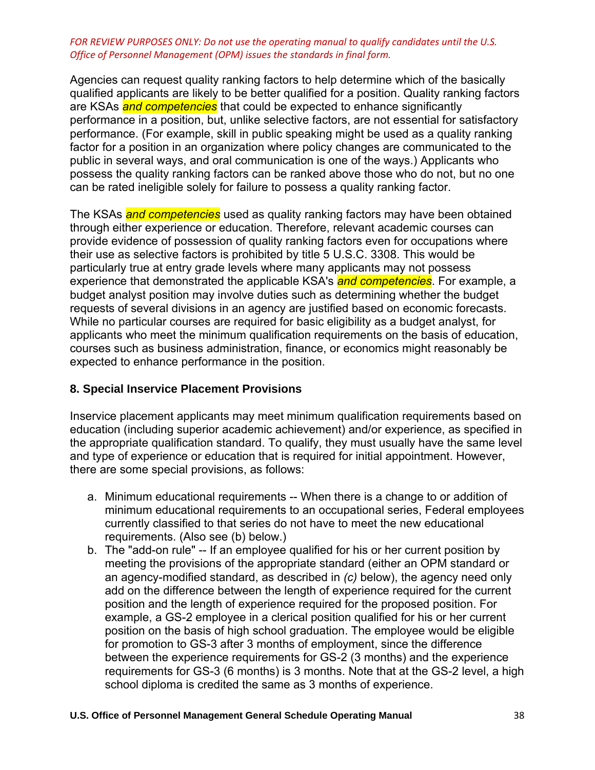Agencies can request quality ranking factors to help determine which of the basically qualified applicants are likely to be better qualified for a position. Quality ranking factors are KSAs *and competencies* that could be expected to enhance significantly performance in a position, but, unlike selective factors, are not essential for satisfactory performance. (For example, skill in public speaking might be used as a quality ranking factor for a position in an organization where policy changes are communicated to the public in several ways, and oral communication is one of the ways.) Applicants who possess the quality ranking factors can be ranked above those who do not, but no one can be rated ineligible solely for failure to possess a quality ranking factor.

The KSAs *and competencies* used as quality ranking factors may have been obtained through either experience or education. Therefore, relevant academic courses can provide evidence of possession of quality ranking factors even for occupations where their use as selective factors is prohibited by title 5 U.S.C. 3308. This would be particularly true at entry grade levels where many applicants may not possess experience that demonstrated the applicable KSA's *and competencies*. For example, a budget analyst position may involve duties such as determining whether the budget requests of several divisions in an agency are justified based on economic forecasts. While no particular courses are required for basic eligibility as a budget analyst, for applicants who meet the minimum qualification requirements on the basis of education, courses such as business administration, finance, or economics might reasonably be expected to enhance performance in the position.

# **8. Special Inservice Placement Provisions**

Inservice placement applicants may meet minimum qualification requirements based on education (including superior academic achievement) and/or experience, as specified in the appropriate qualification standard. To qualify, they must usually have the same level and type of experience or education that is required for initial appointment. However, there are some special provisions, as follows:

- a. Minimum educational requirements -- When there is a change to or addition of minimum educational requirements to an occupational series, Federal employees currently classified to that series do not have to meet the new educational requirements. (Also see (b) below.)
- b. The "add-on rule" -- If an employee qualified for his or her current position by meeting the provisions of the appropriate standard (either an OPM standard or an agency-modified standard, as described in *(c)* below), the agency need only add on the difference between the length of experience required for the current position and the length of experience required for the proposed position. For example, a GS-2 employee in a clerical position qualified for his or her current position on the basis of high school graduation. The employee would be eligible for promotion to GS-3 after 3 months of employment, since the difference between the experience requirements for GS-2 (3 months) and the experience requirements for GS-3 (6 months) is 3 months. Note that at the GS-2 level, a high school diploma is credited the same as 3 months of experience.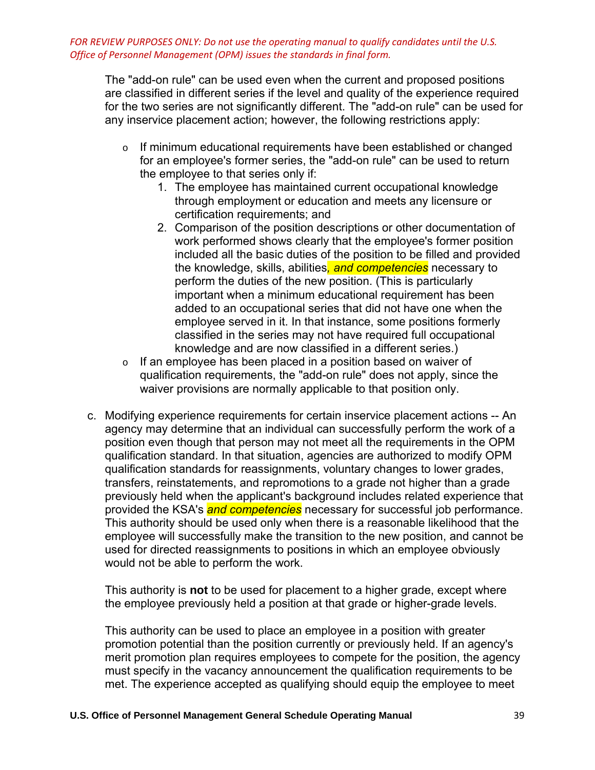The "add-on rule" can be used even when the current and proposed positions are classified in different series if the level and quality of the experience required for the two series are not significantly different. The "add-on rule" can be used for any inservice placement action; however, the following restrictions apply:

- $\circ$  If minimum educational requirements have been established or changed for an employee's former series, the "add-on rule" can be used to return the employee to that series only if:
	- 1. The employee has maintained current occupational knowledge through employment or education and meets any licensure or certification requirements; and
	- 2. Comparison of the position descriptions or other documentation of work performed shows clearly that the employee's former position included all the basic duties of the position to be filled and provided the knowledge, skills, abilities*, and competencies* necessary to perform the duties of the new position. (This is particularly important when a minimum educational requirement has been added to an occupational series that did not have one when the employee served in it. In that instance, some positions formerly classified in the series may not have required full occupational knowledge and are now classified in a different series.)
- o If an employee has been placed in a position based on waiver of qualification requirements, the "add-on rule" does not apply, since the waiver provisions are normally applicable to that position only.
- c. Modifying experience requirements for certain inservice placement actions -- An agency may determine that an individual can successfully perform the work of a position even though that person may not meet all the requirements in the OPM qualification standard. In that situation, agencies are authorized to modify OPM qualification standards for reassignments, voluntary changes to lower grades, transfers, reinstatements, and repromotions to a grade not higher than a grade previously held when the applicant's background includes related experience that provided the KSA's *and competencies* necessary for successful job performance. This authority should be used only when there is a reasonable likelihood that the employee will successfully make the transition to the new position, and cannot be used for directed reassignments to positions in which an employee obviously would not be able to perform the work.

This authority is **not** to be used for placement to a higher grade, except where the employee previously held a position at that grade or higher-grade levels.

This authority can be used to place an employee in a position with greater promotion potential than the position currently or previously held. If an agency's merit promotion plan requires employees to compete for the position, the agency must specify in the vacancy announcement the qualification requirements to be met. The experience accepted as qualifying should equip the employee to meet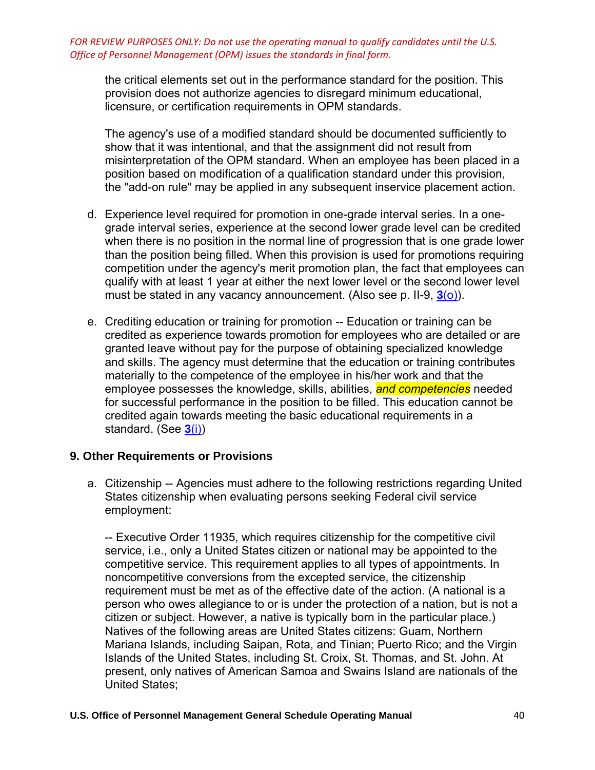the critical elements set out in the performance standard for the position. This provision does not authorize agencies to disregard minimum educational, licensure, or certification requirements in OPM standards.

The agency's use of a modified standard should be documented sufficiently to show that it was intentional, and that the assignment did not result from misinterpretation of the OPM standard. When an employee has been placed in a position based on modification of a qualification standard under this provision, the "add-on rule" may be applied in any subsequent inservice placement action.

- d. Experience level required for promotion in one-grade interval series. In a onegrade interval series, experience at the second lower grade level can be credited when there is no position in the normal line of progression that is one grade lower than the position being filled. When this provision is used for promotions requiring competition under the agency's merit promotion plan, the fact that employees can qualify with at least 1 year at either the next lower level or the second lower level must be stated in any vacancy announcement. (Also see p. II-9, **3**[\(o\)\)](https://www.opm.gov/policy-data-oversight/classification-qualifications/general-schedule-qualification-policies/#e3o).
- e. Crediting education or training for promotion -- Education or training can be credited as experience towards promotion for employees who are detailed or are granted leave without pay for the purpose of obtaining specialized knowledge and skills. The agency must determine that the education or training contributes materially to the competence of the employee in his/her work and that the employee possesses the knowledge, skills, abilities, *and competencies* needed for successful performance in the position to be filled. This education cannot be credited again towards meeting the basic educational requirements in a standard. (See **3**[\(i\)\)](https://www.opm.gov/policy-data-oversight/classification-qualifications/general-schedule-qualification-policies/#e3i)

# **9. Other Requirements or Provisions**

a. Citizenship -- Agencies must adhere to the following restrictions regarding United States citizenship when evaluating persons seeking Federal civil service employment:

-- Executive Order 11935, which requires citizenship for the competitive civil service, i.e., only a United States citizen or national may be appointed to the competitive service. This requirement applies to all types of appointments. In noncompetitive conversions from the excepted service, the citizenship requirement must be met as of the effective date of the action. (A national is a person who owes allegiance to or is under the protection of a nation, but is not a citizen or subject. However, a native is typically born in the particular place.) Natives of the following areas are United States citizens: Guam, Northern Mariana Islands, including Saipan, Rota, and Tinian; Puerto Rico; and the Virgin Islands of the United States, including St. Croix, St. Thomas, and St. John. At present, only natives of American Samoa and Swains Island are nationals of the United States;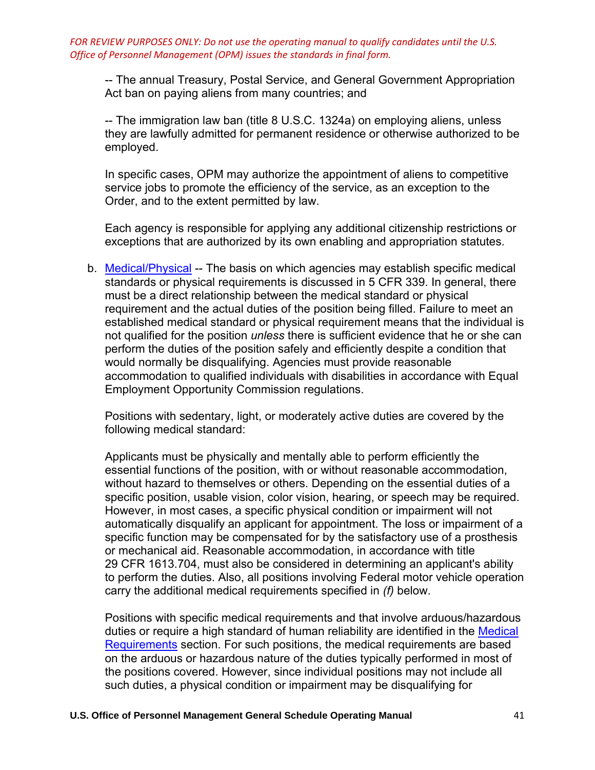-- The annual Treasury, Postal Service, and General Government Appropriation Act ban on paying aliens from many countries; and

-- The immigration law ban (title 8 U.S.C. 1324a) on employing aliens, unless they are lawfully admitted for permanent residence or otherwise authorized to be employed.

In specific cases, OPM may authorize the appointment of aliens to competitive service jobs to promote the efficiency of the service, as an exception to the Order, and to the extent permitted by law.

Each agency is responsible for applying any additional citizenship restrictions or exceptions that are authorized by its own enabling and appropriation statutes.

b. [Medical/Physical](https://www.opm.gov/policy-data-oversight/classification-qualifications/general-schedule-qualification-policies/) -- The basis on which agencies may establish specific medical standards or physical requirements is discussed in 5 CFR 339. In general, there must be a direct relationship between the medical standard or physical requirement and the actual duties of the position being filled. Failure to meet an established medical standard or physical requirement means that the individual is not qualified for the position *unless* there is sufficient evidence that he or she can perform the duties of the position safely and efficiently despite a condition that would normally be disqualifying. Agencies must provide reasonable accommodation to qualified individuals with disabilities in accordance with Equal Employment Opportunity Commission regulations.

Positions with sedentary, light, or moderately active duties are covered by the following medical standard:

Applicants must be physically and mentally able to perform efficiently the essential functions of the position, with or without reasonable accommodation, without hazard to themselves or others. Depending on the essential duties of a specific position, usable vision, color vision, hearing, or speech may be required. However, in most cases, a specific physical condition or impairment will not automatically disqualify an applicant for appointment. The loss or impairment of a specific function may be compensated for by the satisfactory use of a prosthesis or mechanical aid. Reasonable accommodation, in accordance with title 29 CFR 1613.704, must also be considered in determining an applicant's ability to perform the duties. Also, all positions involving Federal motor vehicle operation carry the additional medical requirements specified in *(f)* below.

Positions with specific medical requirements and that involve arduous/hazardous duties or require a high standard of human reliability are identified in the Medical [Requirements](https://www.opm.gov/policy-data-oversight/classification-qualifications/general-schedule-qualification-policies/tabs/medical-requirements/) section. For such positions, the medical requirements are based on the arduous or hazardous nature of the duties typically performed in most of the positions covered. However, since individual positions may not include all such duties, a physical condition or impairment may be disqualifying for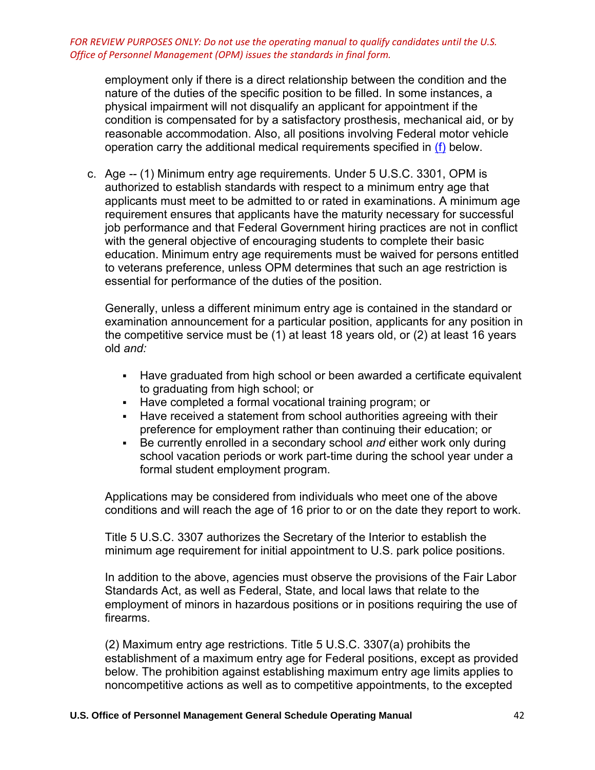employment only if there is a direct relationship between the condition and the nature of the duties of the specific position to be filled. In some instances, a physical impairment will not disqualify an applicant for appointment if the condition is compensated for by a satisfactory prosthesis, mechanical aid, or by reasonable accommodation. Also, all positions involving Federal motor vehicle operation carry the additional medical requirements specified in [\(f\)](https://www.opm.gov/policy-data-oversight/classification-qualifications/general-schedule-qualification-policies/#e9f) below.

c. Age *--* (1) Minimum entry age requirements. Under 5 U.S.C. 3301, OPM is authorized to establish standards with respect to a minimum entry age that applicants must meet to be admitted to or rated in examinations. A minimum age requirement ensures that applicants have the maturity necessary for successful job performance and that Federal Government hiring practices are not in conflict with the general objective of encouraging students to complete their basic education. Minimum entry age requirements must be waived for persons entitled to veterans preference, unless OPM determines that such an age restriction is essential for performance of the duties of the position.

Generally, unless a different minimum entry age is contained in the standard or examination announcement for a particular position, applicants for any position in the competitive service must be (1) at least 18 years old, or (2) at least 16 years old *and:*

- Have graduated from high school or been awarded a certificate equivalent to graduating from high school; or
- Have completed a formal vocational training program; or
- **EXEDED FIGHTS INTER 19 IN STATE III STATE:** Have received a statement from school authorities agreeing with their preference for employment rather than continuing their education; or
- Be currently enrolled in a secondary school and either work only during school vacation periods or work part-time during the school year under a formal student employment program.

Applications may be considered from individuals who meet one of the above conditions and will reach the age of 16 prior to or on the date they report to work.

Title 5 U.S.C. 3307 authorizes the Secretary of the Interior to establish the minimum age requirement for initial appointment to U.S. park police positions.

In addition to the above, agencies must observe the provisions of the Fair Labor Standards Act, as well as Federal, State, and local laws that relate to the employment of minors in hazardous positions or in positions requiring the use of firearms.

(2) Maximum entry age restrictions. Title 5 U.S.C. 3307(a) prohibits the establishment of a maximum entry age for Federal positions, except as provided below. The prohibition against establishing maximum entry age limits applies to noncompetitive actions as well as to competitive appointments, to the excepted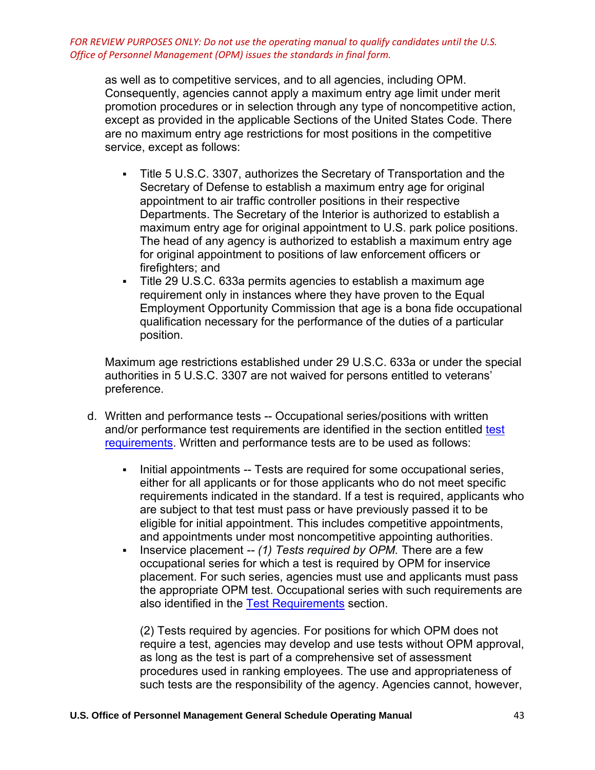as well as to competitive services, and to all agencies, including OPM. Consequently, agencies cannot apply a maximum entry age limit under merit promotion procedures or in selection through any type of noncompetitive action, except as provided in the applicable Sections of the United States Code. There are no maximum entry age restrictions for most positions in the competitive service, except as follows:

- Title 5 U.S.C. 3307, authorizes the Secretary of Transportation and the Secretary of Defense to establish a maximum entry age for original appointment to air traffic controller positions in their respective Departments. The Secretary of the Interior is authorized to establish a maximum entry age for original appointment to U.S. park police positions. The head of any agency is authorized to establish a maximum entry age for original appointment to positions of law enforcement officers or firefighters; and
- Title 29 U.S.C. 633a permits agencies to establish a maximum age requirement only in instances where they have proven to the Equal Employment Opportunity Commission that age is a bona fide occupational qualification necessary for the performance of the duties of a particular position.

Maximum age restrictions established under 29 U.S.C. 633a or under the special authorities in 5 U.S.C. 3307 are not waived for persons entitled to veterans' preference.

- d. Written and performance tests -- Occupational series/positions with written and/or performance [test](https://www.opm.gov/policy-data-oversight/classification-qualifications/general-schedule-qualification-policies/tabs/test-requirements/) requirements are identified in the section entitled test [requirements.](https://www.opm.gov/policy-data-oversight/classification-qualifications/general-schedule-qualification-policies/tabs/test-requirements/) Written and performance tests are to be used as follows:
	- **EXED** Initial appointments -- Tests are required for some occupational series, either for all applicants or for those applicants who do not meet specific requirements indicated in the standard. If a test is required, applicants who are subject to that test must pass or have previously passed it to be eligible for initial appointment. This includes competitive appointments, and appointments under most noncompetitive appointing authorities.
	- Inservice placement *-- (1) Tests required by OPM.* There are a few occupational series for which a test is required by OPM for inservice placement. For such series, agencies must use and applicants must pass the appropriate OPM test. Occupational series with such requirements are also identified in the [Test Requirements](https://www.opm.gov/policy-data-oversight/classification-qualifications/general-schedule-qualification-policies/tabs/test-requirements/) section.

(2) Tests required by agencies*.* For positions for which OPM does not require a test, agencies may develop and use tests without OPM approval, as long as the test is part of a comprehensive set of assessment procedures used in ranking employees. The use and appropriateness of such tests are the responsibility of the agency. Agencies cannot, however,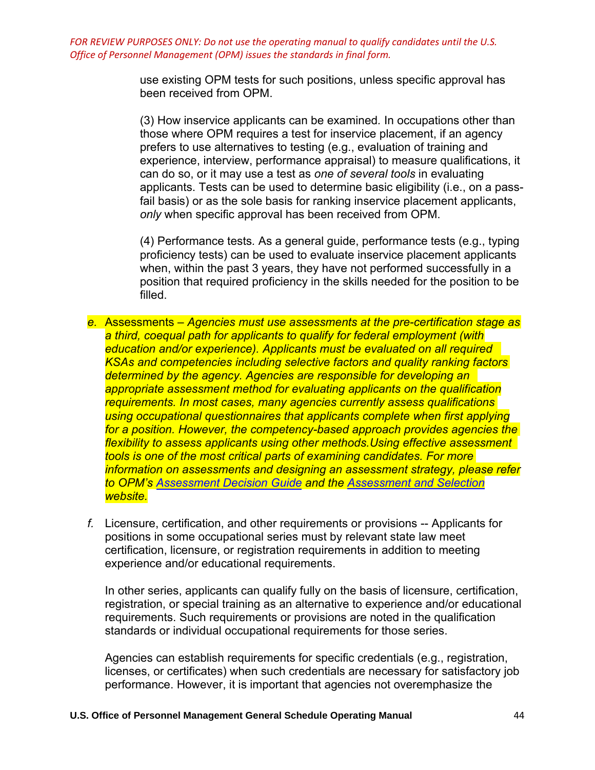> use existing OPM tests for such positions, unless specific approval has been received from OPM.

(3) How inservice applicants can be examined*.* In occupations other than those where OPM requires a test for inservice placement, if an agency prefers to use alternatives to testing (e.g., evaluation of training and experience, interview, performance appraisal) to measure qualifications, it can do so, or it may use a test as *one of several tools* in evaluating applicants. Tests can be used to determine basic eligibility (i.e., on a passfail basis) or as the sole basis for ranking inservice placement applicants, *only* when specific approval has been received from OPM.

(4) Performance tests*.* As a general guide, performance tests (e.g., typing proficiency tests) can be used to evaluate inservice placement applicants when, within the past 3 years, they have not performed successfully in a position that required proficiency in the skills needed for the position to be filled.

- *e.* Assessments *Agencies must use assessments at the pre-certification stage as a third, coequal path for applicants to qualify for federal employment (with education and/or experience). Applicants must be evaluated on all required KSAs and competencies including selective factors and quality ranking factors determined by the agency. Agencies are responsible for developing an appropriate assessment method for evaluating applicants on the qualification requirements. In most cases, many agencies currently assess qualifications using occupational questionnaires that applicants complete when first applying for a position. However, the competency-based approach provides agencies the flexibility to assess applicants using other methods.Using effective assessment tools is one of the most critical parts of examining candidates. For more information on assessments and designing an assessment strategy, please refer to OPM's [Assessment Decision Guide](https://apps.opm.gov/ADT/Content.aspx?page=TOC) and the [Assessment and Selection](https://www.opm.gov/policy-data-oversight/assessment-and-selection/assessment-strategy/https:/www.opm.gov/policy-data-oversight/assessment-and-selection/assessment-strategy/)  website.*
- *f.* Licensure, certification, and other requirements or provisions -- Applicants for positions in some occupational series must by relevant state law meet certification, licensure, or registration requirements in addition to meeting experience and/or educational requirements.

In other series, applicants can qualify fully on the basis of licensure, certification, registration, or special training as an alternative to experience and/or educational requirements. Such requirements or provisions are noted in the qualification standards or individual occupational requirements for those series.

Agencies can establish requirements for specific credentials (e.g., registration, licenses, or certificates) when such credentials are necessary for satisfactory job performance. However, it is important that agencies not overemphasize the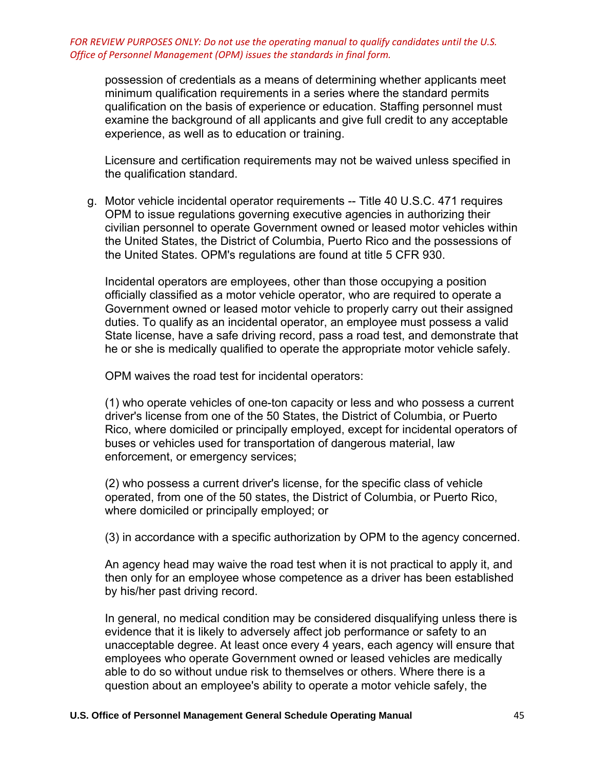possession of credentials as a means of determining whether applicants meet minimum qualification requirements in a series where the standard permits qualification on the basis of experience or education. Staffing personnel must examine the background of all applicants and give full credit to any acceptable experience, as well as to education or training.

Licensure and certification requirements may not be waived unless specified in the qualification standard.

g. Motor vehicle incidental operator requirements -- Title 40 U.S.C. 471 requires OPM to issue regulations governing executive agencies in authorizing their civilian personnel to operate Government owned or leased motor vehicles within the United States, the District of Columbia, Puerto Rico and the possessions of the United States. OPM's regulations are found at title 5 CFR 930.

Incidental operators are employees, other than those occupying a position officially classified as a motor vehicle operator, who are required to operate a Government owned or leased motor vehicle to properly carry out their assigned duties. To qualify as an incidental operator, an employee must possess a valid State license, have a safe driving record, pass a road test, and demonstrate that he or she is medically qualified to operate the appropriate motor vehicle safely.

OPM waives the road test for incidental operators:

(1) who operate vehicles of one-ton capacity or less and who possess a current driver's license from one of the 50 States, the District of Columbia, or Puerto Rico, where domiciled or principally employed, except for incidental operators of buses or vehicles used for transportation of dangerous material, law enforcement, or emergency services;

(2) who possess a current driver's license, for the specific class of vehicle operated, from one of the 50 states, the District of Columbia, or Puerto Rico, where domiciled or principally employed; or

(3) in accordance with a specific authorization by OPM to the agency concerned.

An agency head may waive the road test when it is not practical to apply it, and then only for an employee whose competence as a driver has been established by his/her past driving record.

In general, no medical condition may be considered disqualifying unless there is evidence that it is likely to adversely affect job performance or safety to an unacceptable degree. At least once every 4 years, each agency will ensure that employees who operate Government owned or leased vehicles are medically able to do so without undue risk to themselves or others. Where there is a question about an employee's ability to operate a motor vehicle safely, the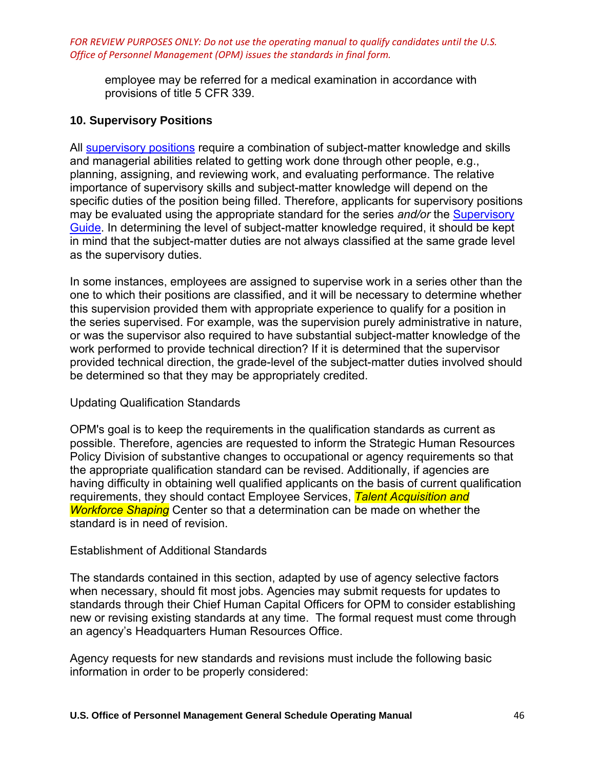employee may be referred for a medical examination in accordance with provisions of title 5 CFR 339.

## **10. Supervisory Positions**

All [supervisory positions](https://www.opm.gov/policy-data-oversight/classification-qualifications/general-schedule-qualification-standards/specialty-areas/supervisory-guide/) require a combination of subject-matter knowledge and skills and managerial abilities related to getting work done through other people, e.g., planning, assigning, and reviewing work, and evaluating performance. The relative importance of supervisory skills and subject-matter knowledge will depend on the specific duties of the position being filled. Therefore, applicants for supervisory positions may be evaluated using the appropriate standard for the series *and/or* the [Supervisory](https://www.opm.gov/policy-data-oversight/classification-qualifications/general-schedule-qualification-standards/specialty-areas/supervisory-guide/)  [Guide.](https://www.opm.gov/policy-data-oversight/classification-qualifications/general-schedule-qualification-standards/specialty-areas/supervisory-guide/) In determining the level of subject-matter knowledge required, it should be kept in mind that the subject-matter duties are not always classified at the same grade level as the supervisory duties.

In some instances, employees are assigned to supervise work in a series other than the one to which their positions are classified, and it will be necessary to determine whether this supervision provided them with appropriate experience to qualify for a position in the series supervised. For example, was the supervision purely administrative in nature, or was the supervisor also required to have substantial subject-matter knowledge of the work performed to provide technical direction? If it is determined that the supervisor provided technical direction, the grade-level of the subject-matter duties involved should be determined so that they may be appropriately credited.

## Updating Qualification Standards

OPM's goal is to keep the requirements in the qualification standards as current as possible. Therefore, agencies are requested to inform the Strategic Human Resources Policy Division of substantive changes to occupational or agency requirements so that the appropriate qualification standard can be revised. Additionally, if agencies are having difficulty in obtaining well qualified applicants on the basis of current qualification requirements, they should contact Employee Services, *Talent Acquisition and Workforce Shaping* Center so that a determination can be made on whether the standard is in need of revision.

#### Establishment of Additional Standards

The standards contained in this section, adapted by use of agency selective factors when necessary, should fit most jobs. Agencies may submit requests for updates to standards through their Chief Human Capital Officers for OPM to consider establishing new or revising existing standards at any time. The formal request must come through an agency's Headquarters Human Resources Office.

Agency requests for new standards and revisions must include the following basic information in order to be properly considered: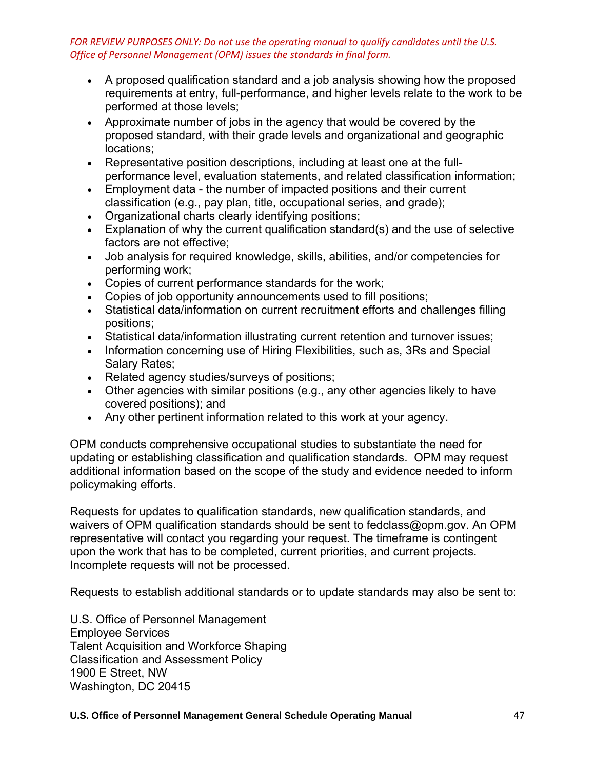- A proposed qualification standard and a job analysis showing how the proposed requirements at entry, full-performance, and higher levels relate to the work to be performed at those levels;
- Approximate number of jobs in the agency that would be covered by the proposed standard, with their grade levels and organizational and geographic locations;
- Representative position descriptions, including at least one at the fullperformance level, evaluation statements, and related classification information;
- Employment data the number of impacted positions and their current classification (e.g., pay plan, title, occupational series, and grade);
- Organizational charts clearly identifying positions;
- Explanation of why the current qualification standard(s) and the use of selective factors are not effective;
- Job analysis for required knowledge, skills, abilities, and/or competencies for performing work;
- Copies of current performance standards for the work;
- Copies of job opportunity announcements used to fill positions;
- Statistical data/information on current recruitment efforts and challenges filling positions;
- Statistical data/information illustrating current retention and turnover issues;
- Information concerning use of Hiring Flexibilities, such as, 3Rs and Special Salary Rates;
- Related agency studies/surveys of positions;
- Other agencies with similar positions (e.g., any other agencies likely to have covered positions); and
- Any other pertinent information related to this work at your agency.

OPM conducts comprehensive occupational studies to substantiate the need for updating or establishing classification and qualification standards. OPM may request additional information based on the scope of the study and evidence needed to inform policymaking efforts.

Requests for updates to qualification standards, new qualification standards, and waivers of OPM qualification standards should be sent to fedclass@opm.gov. An OPM representative will contact you regarding your request. The timeframe is contingent upon the work that has to be completed, current priorities, and current projects. Incomplete requests will not be processed.

Requests to establish additional standards or to update standards may also be sent to:

U.S. Office of Personnel Management Employee Services Talent Acquisition and Workforce Shaping Classification and Assessment Policy 1900 E Street, NW Washington, DC 20415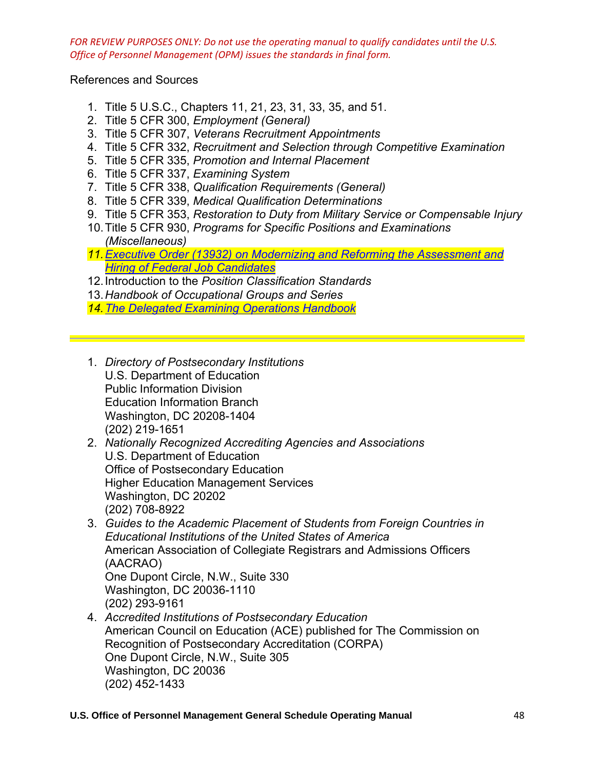References and Sources

- 1. Title 5 U.S.C., Chapters 11, 21, 23, 31, 33, 35, and 51.
- 2. Title 5 CFR 300, *Employment (General)*
- 3. Title 5 CFR 307, *Veterans Recruitment Appointments*
- 4. Title 5 CFR 332, *Recruitment and Selection through Competitive Examination*
- 5. Title 5 CFR 335, *Promotion and Internal Placement*
- 6. Title 5 CFR 337, *Examining System*
- 7. Title 5 CFR 338, *Qualification Requirements (General)*
- 8. Title 5 CFR 339, *Medical Qualification Determinations*
- 9. Title 5 CFR 353, *Restoration to Duty from Military Service or Compensable Injury*
- 10. Title 5 CFR 930, *Programs for Specific Positions and Examinations (Miscellaneous)*
- *11[.Executive Order \(13932\) on Modernizing and Reforming the Assessment and](https://www.whitehouse.gov/presidential-actions/executive-order-modernizing-reforming-assessment-hiring-federal-job-candidates/)  [Hiring of Federal Job Candidates](https://www.whitehouse.gov/presidential-actions/executive-order-modernizing-reforming-assessment-hiring-federal-job-candidates/)*
- 12. Introduction to the *Position Classification Standards*
- 13.*Handbook of Occupational Groups and Series*
- *14[.The Delegated Examining Operations Handbook](https://www.opm.gov/policy-data-oversight/hiring-information/competitive-hiring/deo_handbook.pdf)*
- 1. *Directory of Postsecondary Institutions* U.S. Department of Education Public Information Division Education Information Branch Washington, DC 20208-1404 (202) 219-1651
- 2. *Nationally Recognized Accrediting Agencies and Associations* U.S. Department of Education Office of Postsecondary Education Higher Education Management Services Washington, DC 20202 (202) 708-8922
- 3. *Guides to the Academic Placement of Students from Foreign Countries in Educational Institutions of the United States of America* American Association of Collegiate Registrars and Admissions Officers (AACRAO) One Dupont Circle, N.W., Suite 330 Washington, DC 20036-1110

(202) 293-9161

4. *Accredited Institutions of Postsecondary Education* American Council on Education (ACE) published for The Commission on Recognition of Postsecondary Accreditation (CORPA) One Dupont Circle, N.W., Suite 305 Washington, DC 20036 (202) 452-1433